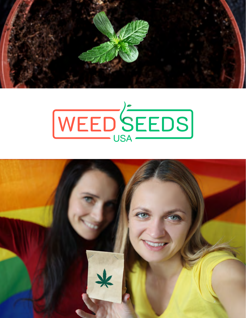



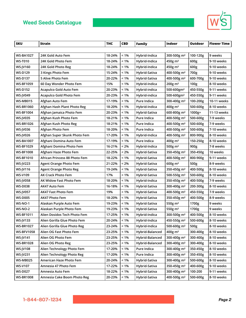

| <b>SKU</b>        | <b>Strain</b>                 | <b>THC</b> | <b>CBD</b> | <b>Family</b>   | <b>Indoor</b>           | Outdoor          | <b>Flower Time</b> |
|-------------------|-------------------------------|------------|------------|-----------------|-------------------------|------------------|--------------------|
|                   |                               |            |            |                 |                         |                  |                    |
| <b>WS-BA1027</b>  | 24K Gold Auto Fem             | 18-24%     | $< 1\%$    | Hybrid-Indica   | 300-500g m <sup>2</sup> | 100-120g         | 9 weeks            |
| <b>WS-T010</b>    | 24K Gold Photo Fem            | 18-24%     | $< 1\%$    | Hybrid-Indica   | 450g m <sup>2</sup>     | 600g             | 9-10 weeks         |
| WS-JV160          | 24K Gold Photo Reg            | 18-24%     | $< 1\%$    | Hybrid-Indica   | 450g m <sup>2</sup>     | 600g             | 9-10 weeks         |
| <b>WS-D129</b>    | 3 Kings Photo Fem             | 15-24%     | $< 1\%$    | Hybrid-Sativa   | 400-500g m <sup>2</sup> | 700g             | 9-10 weeks         |
| <b>WS-D137</b>    | 5 Alive Photo Fem             | 20-22%     | $< 1\%$    | Hybrid-Sativa   | 400-500g m <sup>2</sup> | 600-700g         | 9-10 weeks         |
| <b>WS-BF1059</b>  | 60 Day Wonder Photo Fem       | 15%        | $< 1\%$    | Hybrid-Indica   | $200g \text{ m}^2$      | 100 <sub>g</sub> | 8-10 weeks         |
| <b>WS-D152</b>    | Acapulco Gold Auto Fem        | 20-23%     | $< 1\%$    | Hybrid-indica   | 500-600gm <sup>2</sup>  | 450-550g         | 9-11 weeks         |
| <b>WS-JV049</b>   | Acapulco Gold Photo Fem       | 20-23%     | $< 1\%$    | Hybrid-indica   | 500-600gm <sup>2</sup>  | 450-550g         | 9-11 weeks         |
| <b>WS-MB015</b>   | Afghan Auto Fem               | 17-19%     | $< 1\%$    | Pure Indica     | 300-400g m <sup>2</sup> | 100-200g         | 10-11 weeks        |
| <b>WS-BR1060</b>  | Afghan Hash Plant Photo Reg   | 18-20%     | $< 1\%$    | Hybrid-Indica   | 400g m <sup>2</sup>     | 500-600g         | 8-10 weeks         |
| <b>WS-BF1004</b>  | Afghan Jamaica Photo Fem      | 20-23%     | $< 1\%$    | Hybrid-Sativa   | 600-800g m <sup>2</sup> | 1000g+           | 11-13 weeks        |
| <b>WS-JV035</b>   | Afghan Kush Photo Fem         | 18-21%     | $< 1\%$    | Pure Indica     | 400-500g m <sup>2</sup> | 500-600g         | 7-9 weeks          |
| <b>WS-BR1026</b>  | Afghan Kush Photo Reg         | 18-21%     | $< 1\%$    | Pure Indica     | 400-500g m <sup>2</sup> | 500-600g         | 7-9 weeks          |
| WS-JV036          | Afghan Photo Fem              | 18-20%     | $< 1\%$    | Pure Indica     | 400-500g m <sup>2</sup> | 500-600g         | 7-10 weeks         |
| <b>WS-JV026</b>   | Afghan Super Skunk Photo Fem  | 17-20%     | $< 1\%$    | Hybrid-Indica   | 400-500g m <sup>2</sup> | 800-900g         | 8-10 weeks         |
| <b>WS-BA1007</b>  | Afghani Domina Auto Fem       | 17-19%     | $< 1\%$    | Pure Indica     | 400g m <sup>2</sup>     | 150-250g         | 8-10 weeks         |
| <b>WS-BF1029</b>  | Afghani Domina Photo Fem      | 16-21%     | < 2%       | Hybrid-Indica   | 500g $m2$               | 900g             | 7-8 weeks          |
| <b>WS-BF1008</b>  | Afghani Haze Photo Fem        | 22-25%     | < 2%       | Hybrid-Sativa   | 350-450g m <sup>2</sup> | 350-450g         | 10 weeks           |
| <b>WS-BF1010</b>  | African Princess 88 Photo Fem | 18-22%     | $< 1\%$    | Hybrid-Sativa   | 400-500g m <sup>2</sup> | 800-900g         | 9-11 weeks         |
| <b>WS-JV223</b>   | <b>Agent Orange Photo Fem</b> | 21-22%     | < 2%       | Hybrid-Sativa   | $600g \, \text{m}^2$    | 500g             | 8-9 weeks          |
| WS-JV116          | <b>Agent Orange Photo Reg</b> | 19-24%     | $< 1\%$    | Hybrid-Sativa   | 350-450g m <sup>2</sup> | 400-500g         | 8-10 weeks         |
| <b>WS-V109</b>    | <b>AK Crack Photo Fem</b>     | 17%        | $< 1\%$    | Hybrid-Sativa   | 500-550g m <sup>2</sup> | 500-600g         | 8-10 weeks         |
| <b>WS-JV058</b>   | AK Widow Fast Photo Fem       | 18-20%     | $< 1\%$    | Hybrid-Indica   | 350-450g m <sup>2</sup> | 400-500g         | 7-9 weeks          |
| <b>WS-D038</b>    | AK47 Auto Fem                 | 16-18%     | $< 1\%$    | Hybrid-Sativa   | 300-400g m <sup>2</sup> | 200-300g         | 8-10 weeks         |
| <b>WS-JV057</b>   | <b>AK47 Fast Photo Fem</b>    | 19%        | $< 1\%$    | Hybrid-Sativa   | 400-500g m <sup>2</sup> | 450-550g         | 7-9 weeks          |
| <b>WS-D005</b>    | AK47 Photo Fem                | 18-20%     | $< 1\%$    | Hybrid-Sativa   | 350-450g m <sup>2</sup> | 400-500g         | 8-9 weeks          |
| <b>WS-NO-1</b>    | Alaskan Purple Auto Fem       | 19-23%     | $< 1\%$    | Hybrid-Sativa   | 550g m <sup>2</sup>     | 1700g            | 9 weeks            |
| <b>WS-NO-2</b>    | Alaskan Purple Photo Fem      | 19-23%     | $< 1\%$    | Hybrid-Sativa   | 550g m <sup>2</sup>     | 1700g            | 9 weeks            |
| <b>WS-BF1011</b>  | Alien Dosidos Tech Photo Fem  | 17-25%     | $< 1\%$    | Hybrid-Indica   | 300-500g m <sup>2</sup> | 400-500g         | 8-10 weeks         |
| <b>WS-JV133</b>   | Alien Gorilla Glue Photo Fem  | 20-24%     | $<1\%$     | Hybrid-Indica   | 450-550g m <sup>2</sup> | 500-600g         | 8-10 weeks         |
| <b>WS-BR1027</b>  | Alien Gorilla Glue Photo Reg  | 23-24%     | $< 1\%$    | Hybrid-Indica   | 500-600g m <sup>2</sup> | 500g             | 8-10 weeks         |
| <b>WS-BFV1058</b> | Alien OG Fast Photo Fem       | 23-25%     | $< 1\%$    | Hybrid-Balanced | 400g m <sup>2</sup>     | 300-400g         | 8-10 weeks         |
| <b>WS-JV141</b>   | Alien OG Photo Fem            | 23-25%     | $< 1\%$    | Hybrid-Balanced | 300-400g m <sup>2</sup> | 300-400g         | 8-10 weeks         |
| <b>WS-BR1028</b>  | Alien OG Photo Reg            | 23-25%     | $< 1\%$    | Hybrid-Balanced | 300-400g m <sup>2</sup> | 300-400g         | 8-10 weeks         |
| <b>WS-JV108</b>   | Alien Technology Photo Fem    | 17-20%     | $< 1\%$    | Pure Indica     | 300-400g m <sup>2</sup> | 350-450g         | 8-10 weeks         |
| <b>WS-JV231</b>   | Alien Technology Photo Reg    | 17-20%     | $< 1\%$    | Pure Indica     | 300-400g m <sup>2</sup> | 350-450g         | 8-10 weeks         |
| <b>WS-MB025</b>   | American Haze Photo Fem       | 20-24%     | $< 1\%$    | Hybrid-Sativa   | 300-400g m <sup>2</sup> | 500-600g         | 8-10 weeks         |
| <b>WS-V107</b>    | Amnesia 47 Photo Fem          | 17-22%     | $< 1\%$    | Hybrid-Sativa   | 350-450g m <sup>2</sup> | 400-600g         | 9-10 weeks         |
| <b>WS-D027</b>    | Amnesia Auto Fem              | 18-22%     | $< 1\%$    | Hybrid-Sativa   | 300-400g m <sup>2</sup> | 100-200          | 9-11 weeks         |
| <b>WS-BR1008</b>  | Amnesia Cake Boom Photo Reg   | 20-23%     | $< 1\%$    | Hybrid-Sativa   | 400-500g m <sup>2</sup> | 500-600g         | 8-10 weeks         |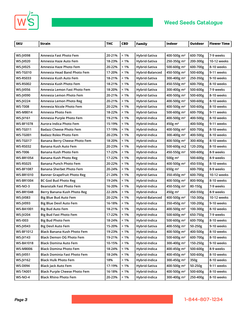



 $\sqrt{2}$ 

| <b>SKU</b>       | <b>Strain</b>                        | <b>THC</b> | <b>CBD</b> | <b>Family</b>   | Indoor                  | <b>Outdoor</b> | <b>Flower Time</b> |
|------------------|--------------------------------------|------------|------------|-----------------|-------------------------|----------------|--------------------|
|                  |                                      |            |            |                 |                         |                |                    |
| <b>WS-JV098</b>  | Amnesia Fast Photo Fem               | 20-21%     | $< 1\%$    | Hybrid-Sativa   | 400-500g m <sup>2</sup> | 600-700g       | 7-9 weeks          |
| <b>WS-JV020</b>  | Amnesia Haze Auto Fem                | 18-23%     | $< 1\%$    | Hybrid-Sativa   | 250-350g m <sup>2</sup> | 200-300g       | 10-12 weeks        |
| <b>WS-JV025</b>  | Amnesia Haze Photo Fem               | 20-22%     | $< 1\%$    | Hybrid-Sativa   | 500-600g m <sup>2</sup> | 600-700g       | 8-10 weeks         |
| <b>WS-TG010</b>  | Amnesia Head Band Photo Fem          | 17-20%     | $< 1\%$    | Hybrid-Balanced | 450-500g m <sup>2</sup> | 500-600g       | 9-11 weeks         |
| WS-RS033         | Amnesia Kush Auto Fem                | 18-21%     | $< 1\%$    | Hybrid-Sativa   | 300-400g m <sup>2</sup> | 250-350g       | 9-10 weeks         |
| <b>WS-RS002</b>  | Amnesia Kush Photo Fem               | 18-21%     | $< 1\%$    | Hybrid-Sativa   | 450-550g m <sup>2</sup> | 600-700g       | 8-10 weeks         |
| <b>WS-JV056</b>  | Amnesia Lemon Fast Photo Fem         | 18-20%     | $< 1\%$    | Hybrid-Sativa   | 300-400g m <sup>2</sup> | 500-600g       | 7-9 weeks          |
| <b>WS-JV090</b>  | Amnesia Lemon Photo Fem              | 20-21%     | $< 1\%$    | Hybrid-Sativa   | 400-500g m <sup>2</sup> | 500-600g       | 8-10 weeks         |
| <b>WS-JV224</b>  | Amnesia Lemon Photo Reg              | 20-21%     | $< 1\%$    | Hybrid-Sativa   | 400-500g m <sup>2</sup> | 500-600g       | 8-10 weeks         |
| <b>WS-T008</b>   | Amnesia Nicole Photo Fem             | 20-22%     | $< 1\%$    | Hybrid-Sativa   | 400-500g m <sup>2</sup> | 500-600g       | 8-10 weeks         |
| WS-MB014         | Amnesia Photo Fem                    | 18-22%     | $< 1\%$    | Hybrid-Sativa   | 500-600g m <sup>2</sup> | 600-700g       | 9-11 weeks         |
| WS-JV161         | Amnesia Purple Photo Fem             | 19-21%     | $< 1\%$    | Hybrid-Indica   | 400-500g m <sup>2</sup> | 400-500g       | 8-10 weeks         |
| <b>WS-BF1078</b> | Aurora Indica Photo Fem              | 15-19%     | $< 1\%$    | Hybrid-Indica   | $450g \text{ m}^2$      | 400-500g       | 9-11 weeks         |
| WS-TG011         | <b>Badazz Cheese Photo Fem</b>       | 17-19%     | $< 1\%$    | Hybrid-Indica   | 400-500g m <sup>2</sup> | 600-700g       | 8-10 weeks         |
| <b>WS-TG001</b>  | <b>Badazz Rolex Photo Fem</b>        | 20-23%     | $< 1\%$    | Hybrid-Indica   | 300-400g m <sup>2</sup> | 400-500g       | 8-10 weeks         |
| WS-TG017         | Banana Berry Cheese Photo Fem        | 18-20%     | $< 1\%$    | Hybrid-indica   | 400-500g m <sup>2</sup> | 300-400g       | 8-10 weeks         |
| <b>WS-RS032</b>  | Banana Kush Auto Fem                 | 20-23%     | $< 1\%$    | Hybrid-Indica   | 500-600g m2             | 120-200g       | 8-10 weeks         |
| <b>WS-T006</b>   | Banana Kush Photo Fem                | 17-22%     | $< 1\%$    | Hybrid-Indica   | 450-550g m <sup>2</sup> | 500-600g       | 8-9 weeks          |
| WS-BR1054        | Banana Kush Photo Reg                | 17-22%     | $< 1\%$    | Hybrid-Indica   | 500g m <sup>2</sup>     | 500-600g       | 8-9 weeks          |
| <b>WS-RS025</b>  | Banana Punch Photo Fem               | 20-22%     | $< 1\%$    | Hybrid-Indica   | 400-500g m <sup>2</sup> | 450-550g       | 8-10 weeks         |
| WS-BF1087        | Banana Sherbet Photo Fem             | 20-24%     | $< 1\%$    | Hybrid-Indica   | $650g \text{ m}^2$      | 600-700g       | 8-9 weeks          |
| WS-BR1010        | <b>Banner Grapefruit Photo Reg</b>   | 21-24%     | $< 1\%$    | Hybrid-Sativa   | 350-450g m <sup>2</sup> | 600-700g       | 10-12 weeks        |
| WS-BR1004        | <b>BC God Bud Photo Reg</b>          | 19-24%     | $< 1\%$    | Hybrid-Indica   | 400-500g m <sup>2</sup> | 800-900g       | 8-10 weeks         |
| WS-NO-3          | <b>Beanstalk Fast Photo Fem</b>      | 16-20%     | $< 1\%$    | Hybrid-Indica   | 450-550g m <sup>2</sup> | 80-150g        | 7-9 weeks          |
| WS-BR1048        | Berry Banana Kush Photo Reg          | 22-26%     | $< 1\%$    | Hybrid-Indica   | 450g m <sup>2</sup>     | 450-550g       | 8-9 weeks          |
| <b>WS-JV083</b>  | Big Blue Bud Auto Fem                | 20-22%     | $< 1\%$    | Hybrid-Balanced | 400-500g m <sup>2</sup> | 150-300g       | 10-12 weeks        |
| <b>WS-JV093</b>  | <b>Big Blue Devil Auto Fem</b>       | 16-18%     | $< 1\%$    | Hybrid-Indica   | 350-450g m <sup>2</sup> | 100-200g       | 9-10 weeks         |
| WS-BA1001        | <b>Big Bud Auto Fem</b>              | 18-21%     | $< 1\%$    | Hybrid-Indica   | 400-500g m <sup>2</sup> | 100-300g       | 8-10 weeks         |
| <b>WS-JV204</b>  | Big Bud Fast Photo Fem               | 17-22%     | $< 1\%$    | Hybrid-Indica   | 500-600g m <sup>2</sup> | 650-750g       | 7-9 weeks          |
| WS-1003          | <b>Big Bud Photo Fem</b>             | 18-24%     | $< 1\%$    | Hybrid-Indica   | 500-600g m <sup>2</sup> | 600-700g       | 8-10 weeks         |
| WS-JV043         | <b>Big Devil Auto Fem</b>            | 15-20%     | $< 1\%$    | Hybrid-Sativa   | 400-550g m <sup>2</sup> | 50-250g        | 9-10 weeks         |
| <b>WS-BF1012</b> | Black Banana Kush Photo Fem          | 19-23%     | $< 1\%$    | Hybrid-Indica   | 400-500g m <sup>2</sup> | 400-500g       | 8-10 weeks         |
| <b>WS-JV143</b>  | Black Demon OG Photo Fem             | 19-21%     | $< 1\%$    | Hybrid-Indica   | 500-600g m <sup>2</sup> | 600-700g       | 8-10 weeks         |
| <b>WS-BA1018</b> | <b>Black Domina Auto Fem</b>         | 10-15%     | $< 1\%$    | Hybrid-Indica   | 300-400g m <sup>2</sup> | 150-250g       | 9-10 weeks         |
| <b>WS-MB006</b>  | <b>Black Domina Photo Fem</b>        | 18-24%     | $< 1\%$    | Hybrid-Indica   | 400-450g m <sup>2</sup> | 500-600g       | 8-9 weeks          |
| <b>WS-JV051</b>  | <b>Black Dominia Fast Photo Fem</b>  | 18-24%     | $< 1\%$    | Hybrid-Indica   | 400-450g m <sup>2</sup> | 500-600g       | 8-10 weeks         |
| WS-JV162         | <b>Black Hulk Photo Fem</b>          | 18%        | $< 1\%$    | Hybrid-Indica   | 300-450g m <sup>2</sup> | 350g           | 8-10 weeks         |
| <b>WS-D094</b>   | <b>Black Jack Auto Fem</b>           | 17-19%     | $< 1\%$    | Hybrid-Sativa   | 400-500g m <sup>2</sup> | 50-250g        | 9-11 weeks         |
| <b>WS-TA001</b>  | <b>Black Purple Cheese Photo Fem</b> | 16-18%     | $< 1\%$    | Hybrid-Indica   | 400-500g m <sup>2</sup> | 500-600g       | 8-10 weeks         |
| <b>WS-NO-4</b>   | <b>Black Rhino Photo Fem</b>         | 20-23%     | $< 1\%$    | Hybrid-Indica   | 300-400g m <sup>2</sup> | 250-400g       | 8-10 weeks         |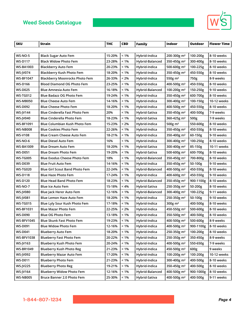

| <b>SKU</b>        | Strain                                | <b>THC</b> | <b>CBD</b> | <b>Family</b>   | Indoor                  | Outdoor   | <b>Flower Time</b> |
|-------------------|---------------------------------------|------------|------------|-----------------|-------------------------|-----------|--------------------|
|                   |                                       |            |            |                 |                         |           |                    |
| <b>WS-NO-5</b>    | <b>Black Sugar Auto Fem</b>           | 15-20%     | $< 1\%$    | Hybrid-Indica   | 200-300g m <sup>2</sup> | 100-200g  | 8-10 weeks         |
| <b>WS-D117</b>    | <b>Black Widow Photo Fem</b>          | 23-28%     | $< 1\%$    | Hybrid-Balanced | 350-450g m <sup>2</sup> | 300-400g  | 8-10 weeks         |
| WS-BA1003         | <b>Blackberry Auto Fem</b>            | 20-23%     | $< 1\%$    | Hybrid-Indica   | 500-600g m <sup>2</sup> | 100-225g  | 8-10 weeks         |
| <b>WS-JV074</b>   | Blackberry Kush Photo Fem             | 18-20%     | $< 1\%$    | Hybrid-Indica   | 350-450g m <sup>2</sup> | 450-550g  | 8-10 weeks         |
| <b>WS-BF1047</b>  | <b>Blackberry Moonrocks Photo Fem</b> | 26-33%     | < 2%       | Hybrid-Indica   | 550g m <sup>2</sup>     | 750g      | 8-9 weeks          |
| <b>WS-D166</b>    | <b>Blood Diamond OG Photo Fem</b>     | 23-25%     | $< 1\%$    | Hybrid-Indica   | 400-500g m <sup>2</sup> | 450-550g  | 8-10 weeks         |
| <b>WS-D025</b>    | <b>Blue Amnesia Auto Fem</b>          | 16-18%     | $< 1\%$    | Hybrid-Balanced | 100-200g m <sup>2</sup> | 150-250g  | 9-10 weeks         |
| <b>WS-TG012</b>   | Blue Badazz OG Photo Fem              | 19-24%     | $< 1\%$    | Hybrid-Indica   | 350-450g m <sup>2</sup> | 600-700g  | 8-10 weeks         |
| <b>WS-MB050</b>   | <b>Blue Cheese Auto Fem</b>           | 14-16%     | $< 1\%$    | Hybrid-Indica   | 300-400g m <sup>2</sup> | 100-150g  | 10-12 weeks        |
| WS-D092           | <b>Blue Cheese Photo Fem</b>          | 18-20%     | $< 1\%$    | Hybrid-Indica   | 400-500g m <sup>2</sup> | 450-550g  | 8-10 weeks         |
| <b>WS-JV144</b>   | <b>Blue Cinderella Fast Photo Fem</b> | 20%        | $< 1\%$    | Hybrid-Sativa   | 350-450g m <sup>2</sup> | 400-500g  | 7-9 weeks          |
| <b>WS-JV040</b>   | Blue Cinderella Photo Fem             | 18-23%     | $< 1\%$    | Hybrid-Sativa   | 360-425g m <sup>2</sup> | 500g      | 7-9 weeks          |
| <b>WS-BF1091</b>  | Blue Columbian Kush Photo Fem         | 15-23%     | < 2%       | Hybrid-Indica   | 500 $g$ m <sup>2</sup>  | 550-600g  | 8-10 weeks         |
| <b>WS-NB008</b>   | <b>Blue Cookies Photo Fem</b>         | 22-26%     | $< 1\%$    | Hybrid-Indica   | 350-450g m <sup>2</sup> | 450-550g  | 8-10 weeks         |
| <b>WS-V108</b>    | Blue Cream Cheese Auto Fem            | 18-21%     | $< 1\%$    | Hybrid-Indica   | 350-400g m <sup>2</sup> | 60-150g   | 9-10 weeks         |
| WS-NO-6           | <b>Blue Diesel Auto Fem</b>           | 16%        | $< 1\%$    | Hybrid-Indica   | 300-400g m <sup>2</sup> | 100-250g  | 8-10 weeks         |
| <b>WS-BA1009</b>  | <b>Blue Dream Auto Fem</b>            | 18-20%     | $< 1\%$    | Hybrid-Sativa   | 300-400g m <sup>2</sup> | 85-150g   | 10-11 weeks        |
| <b>WS-D051</b>    | <b>Blue Dream Photo Fem</b>           | 19-20%     | $< 1\%$    | Hybrid-Sativa   | 500-600g m <sup>2</sup> | 600-700g  | 8-10 weeks         |
| <b>WS-TG005</b>   | <b>Blue Exodus Cheese Photo Fem</b>   | 18%        | $< 1\%$    | Hybrid-Balanced | 350-450g m <sup>2</sup> | 700-800g  | 8-10 weeks         |
| WS-D039           | <b>Blue Fruit Auto Fem</b>            | 14-16%     | $< 1\%$    | Hybrid-Indica   | 350-450g m <sup>2</sup> | 50-100g   | 9-10 weeks         |
| <b>WS-TG020</b>   | <b>Blue Girl Scout Band Photo Fem</b> | 22-24%     | $< 1\%$    | Hybrid-Balanced | 400-500g m <sup>2</sup> | 450-550g  | 8-10 weeks         |
| WS-D118           | <b>Blue Haze Photo Fem</b>            | 17-24%     | $< 1\%$    | Hybrid-Indica   | 400-600g m <sup>2</sup> | 450-550g  | 9-10 weeks         |
| <b>WS-D120</b>    | <b>Blue Head Band Photo Fem</b>       | 18-23%     | $< 1\%$    | Hybrid-Balanced | 350-450g m <sup>2</sup> | 900-1100g | 8-10 weeks         |
| <b>WS-NO-7</b>    | <b>Blue Ice Auto Fem</b>              | 15-18%     | $< 4\%$    | Hybrid-Sativa   | 250-350g m <sup>2</sup> | 50-200g   | 8-10 weeks         |
| <b>WS-JV080</b>   | Blue Jack Herer Auto Fem              | 12-16%     | $< 1\%$    | Hybrid-Balanced | 300-400g m <sup>2</sup> | 100-225g  | 9-11 weeks         |
| <b>WS-IV081</b>   | Blue Lemon Haze Auto Fem              | 18-20%     | $< 1\%$    | Hybrid-Indica   | 250-350g m <sup>2</sup> | 50-100g   | 9-10 weeks         |
| <b>WS-TG015</b>   | Blue Lyly Sour Kush Photo Fem         | 17-18%     | $< 1\%$    | Hybrid-Indica   | 300g m <sup>2</sup>     | 400-500g  | 8-10 weeks         |
| <b>WS-BF1031</b>  | <b>Blue Mazar Photo Fem</b>           | 22-25%     | < 2%       | Hybrid-Indica   | 450-550g m <sup>2</sup> | 500-600g  | 8-10 weeks         |
| <b>WS-D090</b>    | <b>Blue OG Photo Fem</b>              | 13-18%     | $< 1\%$    | Hybrid-Indica   | 350-500g m <sup>2</sup> | 400-500g  | 8-10 weeks         |
| <b>WS-BFV1045</b> | Blue Skunk Fast Photo Fem             | 19-23%     | $< 1\%$    | Hybrid-Indica   | 400-500g m <sup>2</sup> | 500-600g  | 8-9 weeks          |
| <b>WS-D091</b>    | <b>Blue Widow Photo Fem</b>           | 12-16%     | $< 1\%$    | Hybrid-Indica   | 400-500g m <sup>2</sup> | 900-1100g | 8-10 weeks         |
| <b>WS-D041</b>    | <b>Blueberry Auto Fem</b>             | 18-20%     | $< 1\%$    | Hybrid-Indica   | 250-350g m <sup>2</sup> | 100-200g  | 8-10 weeks         |
| <b>WS-BFV1038</b> | <b>Blueberry Fast Photo Fem</b>       | 20-22%     | < 1%       | Hybrid-Indica   | 250-350g m <sup>2</sup> | 350-450g  | 8-9 weeks          |
| WS-JV163          | Blueberry Kush Photo Fem              | 20-24%     | $< 1\%$    | Hybrid-Indica   | 400-500g m <sup>2</sup> | 550-650g  | 7-9 weeks          |
| <b>WS-BR1049</b>  | <b>Blueberry Kush Photo Reg</b>       | 21-23%     | $< 1\%$    | Hybrid-Indica   | 450-500g m <sup>2</sup> | 600g      | 9 weeks            |
| WS-JV092          | <b>Blueberry Mazar Auto Fem</b>       | 17-20%     | $< 1\%$    | Hybrid-Indica   | 100-200g m <sup>2</sup> | 100-200g  | 10-12 weeks        |
| <b>WS-D011</b>    | <b>Blueberry Photo Fem</b>            | 21-23%     | $< 1\%$    | Hybrid-Indica   | 300-400g m <sup>2</sup> | 400-500g  | 8-10 weeks         |
| <b>WS-JV225</b>   | <b>Blueberry Photo Reg</b>            | 19-21%     | $< 1\%$    | Hybrid-Indica   | 350-450g m <sup>2</sup> | 400-500g  | 8-10 weeks         |
| <b>WS-JV164</b>   | <b>Blueberry Widow Photo Fem</b>      | 12-16%     | $< 1\%$    | Hybrid-Balanced | 400-500g m <sup>2</sup> | 900-1000g | 8-10 weeks         |
| <b>WS-NB005</b>   | Bruce Banner 2.0 Photo Fem            | 25-30%     | $< 1\%$    | Hybrid-Sativa   | 400-500g m <sup>2</sup> | 400-500g  | 9-11 weeks         |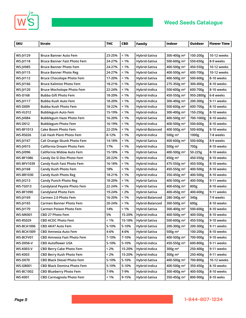



 $\sqrt{2}$ 

| <b>SKU</b>        | <b>Strain</b>                      | <b>THC</b> | <b>CBD</b> | <b>Family</b>        | Indoor                  | Outdoor   | <b>Flower Time</b> |
|-------------------|------------------------------------|------------|------------|----------------------|-------------------------|-----------|--------------------|
|                   |                                    |            |            |                      |                         |           |                    |
| WS-JV129          | <b>Bruce Banner Auto Fem</b>       | 23-25%     | $< 1\%$    | Hybrid-Sativa        | 300-400g m <sup>2</sup> | 100-200g  | 10-12 weeks        |
| <b>WS-JV118</b>   | <b>Bruce Banner Fast Photo Fem</b> | 24-27%     | $< 1\%$    | Hybrid-Sativa        | 500-600g m <sup>2</sup> | 550-650g  | 8-9 weeks          |
| <b>WS-JV085</b>   | <b>Bruce Banner Photo Fem</b>      | 24-27%     | $< 1\%$    | Hybrid-Sativa        | 400-500g m <sup>2</sup> | 450-550g  | 10-12 weeks        |
| <b>WS-JV115</b>   | <b>Bruce Banner Photo Reg</b>      | 24-27%     | $< 1\%$    | Hybrid-Sativa        | 400-500g m <sup>2</sup> | 600-700g  | 10-12 weeks        |
| <b>WS-JV112</b>   | <b>Bruce Chocolope Photo Fem</b>   | 17-20%     | $< 1\%$    | Hybrid-Sativa        | 400-500g m <sup>2</sup> | 500-600g  | 8-10 weeks         |
| <b>WS-JV166</b>   | <b>Bruce Kalimist Photo Fem</b>    | 18-21%     | $< 1\%$    | Hybrid-Sativa        | 275-350g m <sup>2</sup> | 300-400g  | 8-10 weeks         |
| <b>WS-JV120</b>   | <b>Bruce Mocholope Photo Fem</b>   | 22-24%     | $< 1\%$    | Hybrid-Indica        | 500-600g m <sup>2</sup> | 600-700g  | 8-10 weeks         |
| <b>WS-D168</b>    | <b>Bubba Gift Photo Fem</b>        | 18-20%     | $< 1\%$    | Hybrid-Indica        | 450-550g m <sup>2</sup> | 950-2800g | 6-8 weeks          |
| <b>WS-JV117</b>   | Bubba Kush Auto Fem                | 18-20%     | $< 1\%$    | Hybrid-Indica        | 300-400g m <sup>2</sup> | 200-300g  | 9-11 weeks         |
| <b>WS-D009</b>    | Bubba Kush Photo Fem               | 18-22%     | $< 1\%$    | Hybrid-Indica        | 500-600g m <sup>2</sup> | 600-700g  | 8-10 weeks         |
| <b>WS-VL012</b>   | <b>Bubblegum Auto Fem</b>          | 15-19%     | $< 1\%$    | Hybrid-Indica        | 300-400g m <sup>2</sup> | 150-250g  | 8-10 weeks         |
| <b>WS-JV084</b>   | Bubblegum Haze Photo Fem           | 16-20%     | $< 1\%$    | Hybrid-Sativa        | 400-500g m <sup>2</sup> | 700-1000g | 8-10 weeks         |
| <b>WS-D012</b>    | <b>Bubblegum Photo Fem</b>         | 16-19%     | $< 1\%$    | Hybrid-Indica        | 400-500g m <sup>2</sup> | 500-600g  | 8-10 weeks         |
| <b>WS-BF1013</b>  | <b>Cake Boom Photo Fem</b>         | 22-25%     | $< 1\%$    | Hybrid-Balanced      | 400-500g m <sup>2</sup> | 500-600g  | 8-10 weeks         |
| <b>WS-RS026</b>   | Cali Hash Plant Photo Fem          | 8-12%      | $< 1\%$    | Hybrid-Indica        | 500g $m2$               | 1000g     | 7-8 weeks          |
| <b>WS-JV167</b>   | Cali Orange Skunk Photo Fem        | 14-18%     | $< 1\%$    | Hybrid-Sativa        | 400-600g m <sup>2</sup> | 500-600g  | 8-9 weeks          |
| <b>WS-JV015</b>   | California Dream Photo Fem         | 17%        | $< 1\%$    | Hybrid-Indica        | 500g $m2$               | 700g      | 8-10 weeks         |
| <b>WS-JV096</b>   | California Widow Auto Fem          | 15-18%     | $< 1\%$    | Hybrid-Sativa        | 400-500g m <sup>2</sup> | 50-225g   | 8-10 weeks         |
| <b>WS-BF1086</b>  | Candy Do Si Dos Photo Fem          | 20-22%     | $< 1\%$    | Hybrid-Indica        | $450g \text{ m}^2$      | 450-550g  | 8-10 weeks         |
| <b>WS-BFV1039</b> | Candy Kush Fast Photo Fem          | 16-18%     | $< 1\%$    | Hybrid-Indica        | 475-550g m <sup>2</sup> | 450-500g  | 8-10 weeks         |
| <b>WS-JV168</b>   | Candy Kush Photo Fem               | 18%        | $< 1\%$    | Hybrid-Indica        | 450-550g m <sup>2</sup> | 400-500g  | 8-10 weeks         |
| <b>WS-BR1030</b>  | Candy Kush Photo Reg               | 18-21%     | $< 1\%$    | Hybrid-Indica        | 350-450g m <sup>2</sup> | 400-500g  | 8-10 weeks         |
| <b>WS-JV213</b>   | <b>Candy Punch Photo Reg</b>       | 18-20%     | $< 1\%$    | Hybrid-Sativa        | 400-500g m <sup>2</sup> | 400-500g  | 9-11 weeks         |
| <b>WS-TG013</b>   | Candyland Peyote Photo Fem         | 22-24%     | $< 1\%$    | Hybrid-Sativa        | 400-650g m <sup>2</sup> | 800g      | 8-10 weeks         |
| <b>WS-BF1090</b>  | <b>Candyland Photo Fem</b>         | 19-24%     | $< 2\%$    | Hybrid-Sativa        | 400-450g m <sup>2</sup> | 400-600g  | 9-11 weeks         |
| WS-JV169          | Carmen 2.0 Photo Fem               | 16-20%     | $< 1\%$    | Hybrid-Balanced      | 280-340g m <sup>2</sup> | 340g      | 7-9 weeks          |
| <b>WS-JV165</b>   | <b>Carmen Banner Photo Fem</b>     | 20-24%     | $< 1\%$    | Hybrid-Balanced      | 300-500g m <sup>2</sup> | 600g      | 8-10 weeks         |
| <b>WS-JV170</b>   | <b>Carmen Poison Photo Fem</b>     | 14%        | < 1%       | Hybrid-Sativa        | 300-400g m <sup>2</sup> | 500-600g  | 8-10 weeks         |
| <b>WS-MK001</b>   | CBD 27 Photo Fem                   | 5%         | 15-20%     | Hybrid-Indica        | 400-500g m <sup>2</sup> | 400-500g  | 8-10 weeks         |
| <b>WS-RS029</b>   | CBD ACDC Photo Fem                 | 1%         |            | 15-18% Hybrid-Sativa | 500-600g m <sup>2</sup> | 450-550g  | 9-10 weeks         |
| <b>WS-BCA1006</b> | CBD AK47 Auto Fem                  | 5-10%      | 5-10%      | Hybrid-Sativa        | 200-300g m <sup>2</sup> | 200-300g  | 9-11 weeks         |
| <b>WS-BCA1009</b> | CBD Amnesia Auto Fem               | 4-6%       | 4-6%       | Hybrid-Sativa        | 500g m <sup>2</sup>     | 100-200g  | 8-10 weeks         |
| WS-BCFV01         | CBD Amnesia Fast Photo Fem         | 7-10%      | 7-10%      | Hybrid-Sativa        | 400-500g m <sup>2</sup> | 700-900g  | 9-10 weeks         |
| <b>WS-D056-V</b>  | <b>CBD Autoflower USA</b>          | 5-10%      | 5-10%      | Hybrid-indica        | 450-550g m <sup>2</sup> | 600-800g  | 9-11 weeks         |
| <b>WS-K003-V</b>  | CBD Berry Cake Photo Fem           | < 2%       | 15-20%     | Hybrid-Indica        | $300g$ m <sup>2</sup>   | 250-400g  | 9-11 weeks         |
| <b>WS-K003</b>    | CBD Berry Kush Photo Fem           | $< 2\%$    | 15-20%     | Hybrid-Indica        | $300g$ m <sup>2</sup>   | 250-400g  | 9-11 weeks         |
| <b>WS-D070</b>    | CBD Black Diesel Photo Fem         | 5-10%      | 5-10%      | Hybrid-Sativa        | 400-500g m <sup>2</sup> | 700-800g  | 10-12 weeks        |
| <b>WS-GB001</b>   | <b>CBD Black Domina Photo Fem</b>  | 5-10%      | 5-10%      | Hybrid-Indica        | 400-500g m <sup>2</sup> | 350-450g  | 8-10 weeks         |
| <b>WS-BC1002</b>  | <b>CBD Blueberry Photo Fem</b>     | 7-9%       | 7-9%       | Hybrid-Indica        | 300-400g m <sup>2</sup> | 400-500g  | 8-10 weeks         |
| <b>WS-K001</b>    | <b>CBD Carmagnola Photo Fem</b>    | $< 1\%$    | 9-15%      | Hybrid-Sativa        | 350-450g m <sup>2</sup> | 800-900g  | 8-10 weks          |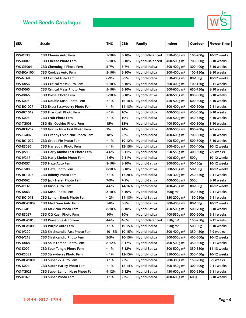

| <b>SKU</b>        | <b>Strain</b>                         | <b>THC</b> | <b>CBD</b> | Family          | Indoor                  | Outdoor  | <b>Flower Time</b> |
|-------------------|---------------------------------------|------------|------------|-----------------|-------------------------|----------|--------------------|
|                   |                                       |            |            |                 |                         |          |                    |
| <b>WS-D133</b>    | <b>CBD Cheese Auto Fem</b>            | 5-10%      | 5-10%      | Hybrid-Balanced | 350-450g m <sup>2</sup> | 100-200g | 10-12 weeks        |
| <b>WS-D087</b>    | <b>CBD Cheese Photo Fem</b>           | 5-10%      | 5-10%      | Hybrid-Balanced | 400-500g m <sup>2</sup> | 700-800g | 8-10 weeks         |
| WS-GB004          | CBD Chemdog 4 Photo Fem               | 5-7%       | 5-7%       | Hybrid-Indica   | 300-400g m <sup>2</sup> | 300-400g | 8-10 weeks         |
| <b>WS-BCA1004</b> | <b>CBD Cookies Auto Fem</b>           | 5-10%      | 5-10%      | Hybrid-Indica   | 300-400g m <sup>2</sup> | 100-150g | 8-10 weeks         |
| <b>WS-NO-8</b>    | <b>CBD Critical Auto Fem</b>          | 6-9%       | 6-9%       | Hybrid-Indica   | 350-400g m <sup>2</sup> | 80-150g  | 10-12 weeks        |
| <b>WS-D056</b>    | <b>CBD Critical Mass Auto Fem</b>     | 5-10%      | 5-10%      | Hybrid-Indica   | 300-400g m <sup>2</sup> | 100-150g | 9-11 weeks         |
| <b>WS-D060</b>    | <b>CBD Critical Mass Photo Fem</b>    | 5-10%      | 5-10%      | Hybrid-Indica   | 500-600g m <sup>2</sup> | 650-750g | 8-10 weeks         |
| <b>WS-D066</b>    | <b>CBD Diesel Photo Fem</b>           | 5-10%      | 5-10%      | Hybrid-Sativa   | 400-500g m <sup>2</sup> | 800-900g | 8-10 weeks         |
| WS-K006           | CBD Double Kush Photo Fem             | < 1%       | 16-18%     | Hybrid-Indica   | 450-500g m <sup>2</sup> | 600-800g | 8-10 weeks         |
| <b>WS-BC1007</b>  | CBD Extra Strawberry Photo Fem        | < 1%       | 14-18%     | Hybrid-Indica   | 300-400g m <sup>2</sup> | 400-600g | 9-11 weeks         |
| <b>WS-BC1012</b>  | <b>CBD Fire Kush Photo Fem</b>        | < 1%       | 10%        | Hybrid-Indica   | 400-500g m <sup>2</sup> | 450-550g | 8-10 weeks         |
| <b>WS-K005</b>    | <b>CBD Fruit Photo Fem</b>            | < 1%       | 10%        | Hybrid-Indica   | 400-500g m <sup>2</sup> | 450-550g | 8-10 weeks         |
| <b>WS-TG008</b>   | <b>CBD Girl Cookies Photo Fem</b>     | 15%        | 15%        | Hybrid-Indica   | 400-500g m <sup>2</sup> | 400-500g | 8-10 weeks         |
| WS-BCFV02         | CBD Gorilla Glue Fast Photo Fem       | 7%         | 14%        | Hybrid-Indica   | 400-500g m <sup>2</sup> | 800-900g | 7-9 weeks          |
| <b>WS-TG007</b>   | <b>CBD Grannys Medicine Photo Fem</b> | 18%        | 22%        | Hybrid-Indica   | 400-600g m <sup>2</sup> | 700-800g | 8-10 weeks         |
| <b>WS-BC1009</b>  | <b>CBD Grape Pie Photo Fem</b>        | < 1%       | 10-12%     | Hybrid-Indica   | 400-500g m <sup>2</sup> | 500-600g | 8-10 weeks         |
| <b>WS-RS030</b>   | <b>CBD Harlequin Photo Fem</b>        | < 1%       | 13-15%     | Hybrid-Indica   | 300-450g m <sup>2</sup> | 300-400g | 10-12 weeks        |
| WS-JV219          | <b>CBD Harly Kimbo Fast Photo Fem</b> | 4-6%       | 9-11%      | Hybrid-Indica   | 350-550g m <sup>2</sup> | 400-500g | 7-9 weeks          |
| <b>WS-JV217</b>   | <b>CBD Harly Kimbo Photo Fem</b>      | 4-6%       | 9-11%      | Hybrid-Indica   | 400-600g m <sup>2</sup> | 500g     | 10-12 weeks        |
| <b>WS-D057</b>    | CBD Haze Auto Fem                     | 8-10%      | 8-10%      | Hybrid-Sativa   | 300-500g m <sup>2</sup> | 50-150g  | 10-12 weeks        |
| <b>WS-TG009</b>   | <b>CBD Haze Photo Fem</b>             | 8-10%      | 8-10%      | Hybrid-Sativa   | 300-500g m <sup>2</sup> | 50-150g  | 10-12 weeks        |
| <b>WS-BC1005</b>  | <b>CBD Infinity Photo Fem</b>         | < 1%       | 17-20%     | Hybrid-Indica   | 200-300g m <sup>2</sup> | 250-350g | 9-11 weeks         |
| <b>WS-D062</b>    | CBD Jack Herer Photo Fem              | 7-9%       | 7-9%       | Hybrid-Sativa   | 400-500g m <sup>2</sup> | 500g     | 8-10 weeks         |
| <b>WS-D132</b>    | <b>CBD Kush Auto Fem</b>              | 4-6%       | 14-16%     | Hybrid-Indica   | 400-450g m <sup>2</sup> | 80-180g  | 10-12 weeks        |
| <b>WS-D063</b>    | CBD Kush Photo Fem                    | 8-10%      | 8-10%      | Hybrid-Indica   | 500g $m2$               | 450-550g | 9-11 weeks         |
| WS-BC1013         | <b>CBD Lemon Skunk Photo Fem</b>      | < 2%       | 14-18%     | Hybrid-Sativa   | 150-200g m <sup>2</sup> | 150-250g | 9-11 weeks         |
| <b>WS-BCA1002</b> | <b>CBD Med Gom Auto Fem</b>           | 5-8%       | 5-8%       | Hybrid-Sativa   | 300-400g m <sup>2</sup> | 80-150g  | 10-12 weeks        |
| <b>WS-TG018</b>   | <b>CBD Mexican Photo Fem</b>          | 8-10%      | 8-10%      | Hybrid-Sativa   | 450-500g m <sup>2</sup> | 500-700g | 8-10 weeks         |
| <b>WS-RS027</b>   | CBD OG Kush Photo Fem                 | 10%        | 10%        | Hybrid-Indica   | 400-550g m <sup>2</sup> | 500-600g | 9-11 weeks         |
| <b>WS-BCA1010</b> | <b>CBD Pineapple Auto Fem</b>         | 4-6%       | 4-6%       | Hybrid-Balanced | 350g m <sup>2</sup>     | 150-250g | 9-11 weeks         |
| <b>WS-BCA1008</b> | <b>CBD Purple Auto Fem</b>            | $< 1\%$    | 10-15%     | Hybrid-Indica   | $350g$ m <sup>2</sup>   | 50-100g  | 8-10 weeks         |
| <b>WS-JV220</b>   | CBD Shishcandid Fast Photo Fem        | 10-15%     | 10-15%     | Hybrid-Indica   | 300-400g m <sup>2</sup> | 350-450g | 7-9 weeks          |
| <b>WS-JV218</b>   | <b>CBD Shishcandid Photo Fem</b>      | 3-5%       | 10-15%     | Hybrid-Indica   | 300-500g m <sup>2</sup> | 400-500g | 10-12 weeks        |
| <b>WS-D068</b>    | <b>CBD Sour Lemon Photo Fem</b>       | 8-12%      | 8-12%      | Hybrid-Indica   | 400-500g m <sup>2</sup> | 450-600g | 9-11 weeks         |
| <b>WS-K007</b>    | <b>CBD Sour Tangie Photo Fem</b>      | $< 1\%$    | 8-12%      | Hybrid-Sativa   | 300-500g m <sup>2</sup> | 350-550g | 11-13 weeks        |
| <b>WS-RS031</b>   | <b>CBD Strawberry Photo Fem</b>       | $< 1\%$    | 12-15%     | Hybrid-indica   | 350-500g m <sup>2</sup> | 350-450g | 10-12 weeks        |
| <b>WS-BCA1001</b> | CBD Super 27 Auto Fem                 | < 1%       | 22%        | Hybrid-Indica   | 200-300g m <sup>2</sup> | 150-200g | 8-9 weeks          |
| <b>WS-K004</b>    | <b>CBD Super Harley Photo Fem</b>     | $< 1\%$    | 12-14%     | Hybrid-Indica   | 300-450g m <sup>2</sup> | 300-400g | 9-11 weeks         |
| <b>WS-TG023</b>   | CBD Super Lemon Haze Photo Fem        | 9-12%      | 9-12%      | Hybrid-Sativa   | 450-600g m <sup>2</sup> | 500-650g | 9-11 weeks         |
| <b>WS-D167</b>    | <b>CBD Super Photo Fem</b>            | $< 1\%$    | 22%        | Hybrid-Indica   | 400-600g m <sup>2</sup> | 600g     | 8-10 weeks         |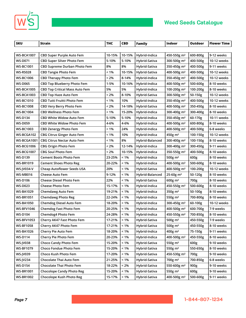



| <b>SKU</b>        | <b>Strain</b>                         | <b>THC</b> | <b>CBD</b> | <b>Family</b>   | Indoor                  | Outdoor  | <b>Flower Time</b> |
|-------------------|---------------------------------------|------------|------------|-----------------|-------------------------|----------|--------------------|
|                   |                                       |            |            |                 |                         |          |                    |
| <b>WS-BCA1007</b> | <b>CBD Super Purple Auto Fem</b>      | 10-15%     | 10-15%     | Hybrid-Indica   | 450-550g m <sup>2</sup> | 600-800g | 9-12 weeks         |
| <b>WS-D071</b>    | <b>CBD Super Silver Photo Fem</b>     | 5-10%      | 5-10%      | Hybrid-Sativa   | 300-500g m <sup>2</sup> | 400-500g | 10-12 weeks        |
| WS-BC1001         | <b>CBD Supreme Durban Photo Fem</b>   | 8%         | 8%         | Hybrid-Sativa   | 350-450g m <sup>2</sup> | 400-500g | 9-11 weeks         |
| WS-RS028          | <b>CBD Tangie Photo Fem</b>           | < 1%       | 10-15%     | Hybrid-Sativa   | 400-500g m <sup>2</sup> | 400-500g | 10-12 weeks        |
| WS-BC1006         | <b>CBD Therapy Photo Fem</b>          | < 2%       | 8-14%      | Hybrid-Indica   | 350-450g m <sup>2</sup> | 400-500g | 10-12 weeks        |
| WS-D065           | CBD Top Blueberry Photo Fem           | 1-5%       | 10-16%     | Hybrid-Indica   | 400-500g m <sup>2</sup> | 500-600g | 8-10 weeks         |
| <b>WS-BCA1005</b> | <b>CBD Top Critical Mass Auto Fem</b> | 5%         | 5%         | Hybrid-Indica   | 100-200g m <sup>2</sup> | 100-200g | 8-10 weeks         |
| <b>WS-BCA1003</b> | <b>CBD Top Haze Auto Fem</b>          | < 2%       | 8-10%      | Hybrid-Sativa   | 300-500g m <sup>2</sup> | 50-150g  | 10-12 weeks        |
| WS-BC1010         | <b>CBD Tutti Fruitti Photo Fem</b>    | < 1%       | 10%        | Hybrid-Indica   | 350-450g m <sup>2</sup> | 400-500g | 10-12 weeks        |
| WS-BC1008         | <b>CBD Very Berry Photo Fem</b>       | < 2%       | 14-18%     | Hybrid-Sativa   | 400-500g m <sup>2</sup> | 350-450g | 8-10 weeks         |
| WS-BC1004         | <b>CBD Wellness Photo Fem</b>         | < 1%       | 15-20%     | Hybrid-Indica   | 300-400g m <sup>2</sup> | 300-400g | 8-10 weeks         |
| WS-D134           | <b>CBD White Widow Auto Fem</b>       | 5-10%      | 5-10%      | Hybrid-Indica   | 350-450g m <sup>2</sup> | 60-170g  | 10-11 weeks        |
| <b>WS-D059</b>    | <b>CBD White Widow Photo Fem</b>      | 4-6%       | 4-6%       | Hybrid-Indica   | 400-500g m <sup>2</sup> | 600-800g | 8-10 weeks         |
| <b>WS-BC1003</b>  | <b>CBD Zenergy Photo Fem</b>          | < 1%       | 24%        | Hybrid-Indica   | 400-500g m <sup>2</sup> | 400-500g | 6-8 weeks          |
| WS-BCGA102        | <b>CBG Citrus Ginger Auto Fem</b>     | < 1%       | 10%        | Hybrid-Indica   | 450g m <sup>2</sup>     | 100-150g | 10-12 weeks        |
| WS-BCGA1001       | <b>CBG Citrus Nectar Auto Fem</b>     | < 1%       | 8%         | Hybrid-Balanced | 300-400g m <sup>2</sup> | 100-150g | 8-10 weeks         |
| WS-BCG1006        | <b>CBG Origin Photo Fem</b>           | < 2%       | 12-14%     | Hybrid-Indica   | 300-400g m <sup>2</sup> | 300-450g | 9-11 weeks         |
| WS-BCG1007        | <b>CBG Soul Photo Fem</b>             | < 2%       | 10-15%     | Hybrid-Indica   | 350-550g m <sup>2</sup> | 400-500g | 8-10 weeks         |
| <b>WS-D139</b>    | <b>Cement Boots Photo Fem</b>         | 23-25%     | $< 1\%$    | Hybrid-Indica   | 500g m <sup>2</sup>     | 600g     | 8-10 weeks         |
| WS-BR1019         | <b>Cement Shoes Photo Reg</b>         | 20-22%     | $< 1\%$    | Hybrid-Indica   | 400-500g m <sup>2</sup> | 500-600g | 8-10 weeks         |
| WS-JV034-V        | <b>Cheap Autoflower Seeds USA</b>     | 20%        | $< 1\%$    | Hybrid-Sativa   | 400-500g m <sup>2</sup> | 100-200g | 10-12 weeks        |
| WS-MB016          | <b>Cheese Auto Fem</b>                | 9-12%      | $< 1\%$    | Hybrid-Balanced | 25-60g m <sup>2</sup>   | 50-120g  | 8-10 weeks         |
| <b>WS-D106</b>    | <b>Cheese Diesel Photo Fem</b>        | 22%        | $< 1\%$    | Hybrid-Sativa   | $600g \text{ m}^2$      | 700g     | 8-10 weeks         |
| <b>WS-D023</b>    | <b>Cheese Photo Fem</b>               | 15-17%     | $< 1\%$    | Hybrid-Indica   | 450-550g m <sup>2</sup> | 500-600g | 8-10 weeks         |
| WS-BA1029         | <b>Chemdawg Auto Fem</b>              | 19-21%     | $< 1\%$    | Hybrid-Indica   | 350g m <sup>2</sup>     | 50-100g  | 8-10 weeks         |
| WS-BR1051         | <b>Chemdawg Photo Reg</b>             | 22-24%     | $< 1\%$    | Hybrid-Indica   | 550g m <sup>2</sup>     | 700-800g | 8-10 weeks         |
| WS-BA1050         | Chemdog Diesel Auto Fem               | 18-20%     | $< 1\%$    | Hybrid-Indica   | 300-450g m <sup>2</sup> | 60-100g  | 10-12 weeks        |
| <b>WS-BFV1046</b> | <b>Chemdog Fast Photo Fem</b>         | 20-25%     | $< 1\%$    | Hybrid-Indica   | 400-500g m <sup>2</sup> | 600-700g | 7-9 weeks          |
| <b>WS-D104</b>    | Chemdog4 Photo Fem                    | 24-28%     | $< 1\%$    | Hybrid-Indica   | 450-550g m <sup>2</sup> | 700-850g | 8-10 weeks         |
| <b>WS-BFV1053</b> | Cherry AK47 Fast Photo Fem            | 17-21%     | $<1\%$     | Hybrid-Sativa   | 500g m <sup>2</sup>     | 450-550g | 7-9 weeks          |
| <b>WS-BF1058</b>  | Cherry AK47 Photo Fem                 | 17-21%     | $< 1\%$    | Hybrid-Sativa   | 500 $g$ m <sup>2</sup>  | 450-550g | 8-10 weeks         |
| <b>WS-BA1026</b>  | Cherry Pie Auto Fem                   | 18-20%     | $< 1\%$    | Hybrid-Indica   | 400g m <sup>2</sup>     | 75-150g  | 9-11 weeks         |
| <b>WS-D114</b>    | Cherry Pie Photo Fem                  | 20-23%     | $< 1\%$    | Hybrid-Indica   | 400-500g m <sup>2</sup> | 450-550g | 8-10 weeks         |
| <b>WS-JV038</b>   | <b>Choco Candy Photo Fem</b>          | 15-20%     | $< 1\%$    | Hybrid-Sativa   | 550g m <sup>2</sup>     | 600g     | 9-10 weeks         |
| <b>WS-BF1079</b>  | Choco Fondue Photo Fem                | 15-20%     | $< 1\%$    | Hybrid-Sativa   | 550g m <sup>2</sup>     | 550-650g | 8-10 weeks         |
| <b>WS-JV039</b>   | Choco Kush Photo Fem                  | 17-20%     | $< 1\%$    | Hybrid-Sativa   | 450-530g m <sup>2</sup> | 700g     | 9-10 weeks         |
| <b>WS-JV234</b>   | Chocolate Thai Auto Fem               | 21-25%     | $< 1\%$    | Hybrid-Sativa   | 700g m <sup>2</sup>     | 700-850g | 6-8 weeks          |
| <b>WS-D154</b>    | Chocolate Thai Photo Fem              | 18-22%     | $< 2\%$    | Hybrid-Sativa   | 550-600g m <sup>2</sup> | 900g     | 9-10 weeks         |
| <b>WS-BR1001</b>  | <b>Chocolope Candy Photo Reg</b>      | 15-20%     | $< 1\%$    | Hybrid-Sativa   | 550g m <sup>2</sup>     | 600g     | 9-10 weeks         |
| <b>WS-BR1002</b>  | Chocolope Kush Photo Reg              | 15-17%     | $<1\%$     | Hybrid-Sativa   | 400-500g m <sup>2</sup> | 500-600g | 9-11 weeks         |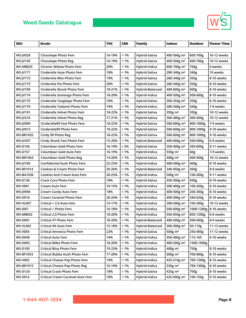

| <b>SKU</b>       | <b>Strain</b>                        | <b>THC</b> | <b>CBD</b> | Family          | Indoor                  | Outdoor                 | <b>Flower Time</b> |
|------------------|--------------------------------------|------------|------------|-----------------|-------------------------|-------------------------|--------------------|
|                  |                                      |            |            |                 |                         |                         |                    |
| <b>WS-JV028</b>  | <b>Chocolope Photo Fem</b>           | 16-19%     | $< 1\%$    | Hybrid-Sativa   | 400-500g m <sup>2</sup> | 600-700g                | 10-12 weeks        |
| <b>WS-JV145</b>  | <b>Chocolope Photo Reg</b>           | 16-19%     | $< 1\%$    | Hybrid-Sativa   | 400-500g m <sup>2</sup> | 600-700g                | 10-12 weeks        |
| <b>WS-MB029</b>  | <b>Chronic Widow Photo Fem</b>       | 20%        | < 1%       | Hybrid-Indica   | 600-700g m <sup>2</sup> | 700g                    | 9 weeks            |
| <b>WS-JV171</b>  | Cinderella Haze Photo Fem            | 18%        | $< 1\%$    | Hybrid-Sativa   | 280-340g m <sup>2</sup> | 340g                    | 10 weeks           |
| <b>WS-JV172</b>  | Cinderella Mist Photo Fem            | 19%        | $< 1\%$    | Hybrid-Sativa   | 280-340g m <sup>2</sup> | 350g                    | 8-10 weeks         |
| <b>WS-JV173</b>  | Cinderella Pie Photo Fem             | 20%        | $< 1\%$    | Hybrid-Sativa   | 280-340g m <sup>2</sup> | 350g                    | 8-10 weeks         |
| <b>WS-JV100</b>  | Cinderella Skunk Photo Fem           | 18-21%     | $< 1\%$    | Hybrid-Balanced | 400-600g m <sup>2</sup> | 600g                    | 8-10 weeks         |
| <b>WS-JV174</b>  | Cinderella Somango Photo Fem         | 18-20%     | $< 1\%$    | Hybrid-Indica   | 400-500g m <sup>2</sup> | 500-600g                | 8-10 weeks         |
| <b>WS-JV175</b>  | Cinderella Tangilope Photo Fem       | 18%        | $< 1\%$    | Hybrid-Sativa   | 300-350g m <sup>2</sup> | 350g                    | 8-10 weeks         |
| <b>WS-JV176</b>  | Cinderella Taskenti Photo Fem        | 19%        | $< 1\%$    | Hybrid-Indica   | 280-340g m <sup>2</sup> | 340g                    | 7-9 weeks          |
| <b>WS-JV191</b>  | Cinderella Velvet Photo Fem          | 18-22%     | $< 1\%$    | Hybrid-Sativa   | 350g $m2$               | 350g                    | 10-12 weeks        |
| WS-JV216         | Cinderella Velvet Photo Reg          | 17-21%     | $< 1\%$    | Hybrid-Sativa   | 300-400g m <sup>2</sup> | 300-450g                | 10-12 weeks        |
| <b>WS-JV099</b>  | Cinderella99 Fast Photo Fem          | 18-22%     | $< 1\%$    | Hybrid-Sativa   | 500-600g m <sup>2</sup> | 800-1000g               | 7-9 weeks          |
| <b>WS-JV013</b>  | Cinderella99 Photo Fem               | 18-22%     | $< 1\%$    | Hybrid-Sativa   | 500-600g m <sup>2</sup> | 800-1000g               | 9-10 weeks         |
| <b>WS-BR1032</b> | Cindy 99 Photo Reg                   | 18-22%     | $< 1\%$    | Hybrid-Sativa   | 500-600g m <sup>2</sup> | 800-1000g               | 9-10 weeks         |
| <b>WS-JV207</b>  | Cindy Skunk Fast Photo Fem           | 15-20%     | < 1%       | Hybrid-Balanced | 400-600g m <sup>2</sup> | 500-600g                | 6-9 weeks          |
| <b>WS-D156</b>   | Colombian Gold Photo Fem             | 16-19%     | < 2%       | Hybrid-Sativa   | 350-400g m <sup>2</sup> | 450-600g                | 9-11 weeks         |
| <b>WS-D157</b>   | Columbian Gold Auto Fem              | 16-19%     | $< 1\%$    | Hybrid-Indica   | 550g m <sup>2</sup>     | 60g                     | 7-9 weeks          |
| <b>WS-BR1063</b> | <b>Columbian Gold Photo Reg</b>      | 14-20%     | $< 1\%$    | Hybrid-Sativa   | $400g \, \text{m}^2$    | 400-500g                | 10-12 weeks        |
| <b>WS-JV185</b>  | <b>Confidential Kush Photo Fem</b>   | 22-23%     | < 1%       | Hybrid-Indica   | 400-500g m <sup>2</sup> | 400g                    | 8-10 weeks         |
| <b>WS-BF1014</b> | <b>Cookies &amp; Cream Photo Fem</b> | 20-26%     | $< 1\%$    | Hybrid-Balanced | 340-450g m <sup>2</sup> | 450g                    | 8-9 weeks          |
| <b>WS-BA1036</b> | <b>Cookies And Cream Auto Fem</b>    | 20-23%     | < 1%       | Hybrid-Indica   | 500 $g$ m <sup>2</sup>  | 100-200g                | 9-11 weeks         |
| WS-D126          | <b>Crack Core Photo Fem</b>          | 18%        | $< 1\%$    | Hybrid-Sativa   | 350-500g m <sup>2</sup> | 500g                    | 8-10 weeks         |
| <b>WS-V001</b>   | Cream Auto Fem                       | 10-15%     | $< 1\%$    | Hybrid-Indica   | 300-400g m <sup>2</sup> | 100-200g                | 8-10 weeks         |
| <b>WS-JV094</b>  | <b>Cream Candy Auto Fem</b>          | 18%        | $< 1\%$    | Hybrid-Indica   | 400-500g m <sup>2</sup> | 200-300g                | 8-10 weeks         |
| <b>WS-D016</b>   | <b>Cream Caramel Photo Fem</b>       | 20-24%     | $< 1\%$    | Hybrid-Indica   | 400-500g m <sup>2</sup> | 340-620g                | 8-10 weeks         |
| <b>WS-VL007</b>  | Critical + 2.0 Auto Fem              | 15-17%     | $< 1\%$    | Hybrid-Indica   | 300-500g m <sup>2</sup> | 100-300g                | 10-12 weeks        |
| <b>WS-1007</b>   | Critical + Photo Fem                 | 16-18%     | $< 1\%$    | Hybrid-Indica   | 500-600g m <sup>2</sup> | 1000-1200g   8-10 weeks |                    |
| <b>WS-MB042</b>  | Critical 2.0 Photo Fem               | 18-20%     | $< 1\%$    | Hybrid-Indica   | 550-650g m <sup>2</sup> | 850-1200g               | 6-8 weeks          |
| <b>WS-D001</b>   | Critical 47 Photo Fem                | 18-20%     | $< 1\%$    | Hybrid-Balanced | 400-500g m <sup>2</sup> | 500-600g                | 8-9 weeks          |
| <b>WS-VL002</b>  | Critical AK Auto Fem                 | 15-18%     | $< 1\%$    | Hybrid-Balanced | 300-500g m <sup>2</sup> | 50-110g                 | 11-13 weeks        |
| <b>WS-V004</b>   | Critical Amnesia Photo Fem           | 22%        | $< 1\%$    | Hybrid-Sativa   | $500g \, \text{m}^2$    | 250-400g                | 11-12 weeks        |
| <b>WS-D040</b>   | <b>Critical Auto Fem</b>             | 14%        | $< 1\%$    | Hybrid-Indica   | 350-400g m <sup>2</sup> | 115-165                 | 9-10 weeks         |
| <b>WS-D003</b>   | <b>Critical Bilbo Photo Fem</b>      | 18-20%     | $< 1\%$    | Hybrid-Indica   | 400-500g m <sup>2</sup> | 1500-1900g              |                    |
| <b>WS-D105</b>   | <b>Critical Blue Photo Fem</b>       | 19-23%     | $< 1\%$    | Hybrid-Indica   | 400g m <sup>2</sup>     | 750g                    | 8-10 weeks         |
| <b>WS-BF1053</b> | Critical Bubba Kush Photo Fem        | 17-20%     | $< 1\%$    | Hybrid-Indica   | 600g m <sup>2</sup>     | 700-800g                | 8-10 weeks         |
| <b>WS-V003</b>   | Critical Cheese Pop Photo Fem        | 19%        | $< 1\%$    | Hybrid-Indica   | 425-510g m <sup>2</sup> | 700-1300g               | 8-10 weeks         |
| <b>WS-BR1015</b> | <b>Critical Cheese Pop Photo Reg</b> | 16-19%     | $< 1\%$    | Hybrid-Indica   | 550g m <sup>2</sup>     | 700-1300g               | 8-10 weeks         |
| <b>WS-D124</b>   | <b>Critical Crack Photo Fem</b>      | 18%        | $< 1\%$    | Hybrid-Sativa   | 425g m <sup>2</sup>     | 700g                    | 8-10 weeks         |
| <b>WS-V014</b>   | Critical Cream Caramel Auto Fem      | 18%        | $< 1\%$    | Hybrid-Indica   | 425-500g m <sup>2</sup> | 100-150g                | 9-10 weeks         |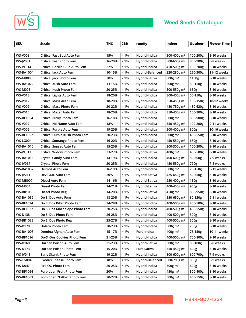



| <b>SKU</b>       | <b>Strain</b>                     | <b>THC</b> | <b>CBD</b> | <b>Family</b>   | Indoor                  | Outdoor  | <b>Flower Time</b> |
|------------------|-----------------------------------|------------|------------|-----------------|-------------------------|----------|--------------------|
|                  |                                   |            |            |                 |                         |          |                    |
| <b>WS-V008</b>   | <b>Critical Fast Bud Auto Fem</b> | 15%        | $< 1\%$    | Hybrid-Indica   | 300-400g m <sup>2</sup> | 100-200g | 8-10 weeks         |
| <b>WS-JV031</b>  | <b>Critical Fast Photo Fem</b>    | 16-20%     | $< 1\%$    | Hybrid-Indica   | 500-600g m <sup>2</sup> | 800-900g | 6-8 weeks          |
| WS-VL014         | Critical Gorilla Glue Auto Fem    | 22%        | $< 1\%$    | Hybrid-Indica   | 450-500g m <sup>2</sup> | 100-200g | 8-10 weeks         |
| WS-BA1004        | Critical Jack Auto Fem            | 10-15%     | $< 1\%$    | Hybrid-Balanced | 220-280g m <sup>2</sup> | 250-300g | 11-12 weeks        |
| WS-MB005         | Critical Jack Photo Fem           | 20%        | $< 1\%$    | Hybrid-Sativa   | 600g m <sup>2</sup>     | 1100g    | 8-10 weeks         |
| WS-BA1022        | <b>Critical Kush Auto Fem</b>     | 13-15%     | $< 1\%$    | Hybrid-Indica   | 500g $m2$               | 50-150g  | 8-10 weeks         |
| WS-M003          | <b>Critical Kush Photo Fem</b>    | 20-25%     | $< 1\%$    | Hybrid-Indica   | 500-550g m <sup>2</sup> | 650g     | 8-10 weeks         |
| <b>WS-V013</b>   | <b>Critical Lights Auto Fem</b>   | 18-20%     | $< 1\%$    | Hybrid-Indica   | 300-400g m <sup>2</sup> | 50-150g  | 8-10 weeks         |
| <b>WS-V012</b>   | <b>Critical Mass Auto Fem</b>     | 18-20%     | $< 1\%$    | Hybrid-Indica   | 350-450g m <sup>2</sup> | 100-150g | 10-12 weeks        |
| <b>WS-V009</b>   | <b>Critical Mass Photo Fem</b>    | 20-22%     | $< 1\%$    | Hybrid-Indica   | 480-750g m <sup>2</sup> | 480-620g | 8-10 weeks         |
| <b>WS-V015</b>   | Critical Mazar Auto Fem           | 18-20%     | $< 1\%$    | Hybrid-Indica   | 350-400g m <sup>2</sup> | 100-200g | 8-10 weeks         |
| <b>WS-BF1054</b> | <b>Critical Nicky Photo Fem</b>   | 16-18%     | $< 1\%$    | Hybrid-Indica   | 500g m <sup>2</sup>     | 800-900g | 8-10 weeks         |
| <b>WS-V007</b>   | Critical No Name Auto Fem         | 18%        | $< 1\%$    | Hybrid-Indica   | 350-450g m <sup>2</sup> | 100-200g | 9-11 weeks         |
| WS-V006          | <b>Critical Purple Auto Fem</b>   | 19-20%     | $< 1\%$    | Hybrid-Indica   | 300-400g m <sup>2</sup> | 300g     | 10-16 weeks        |
| <b>WS-BF1052</b> | Critical Purple Kush Photo Fem    | 20-23%     | $< 1\%$    | Hybrid-Indica   | 500g $m2$               | 450-550g | 8-10 weeks         |
| WS-LG004         | <b>Critical Somango Photo Fem</b> | 16-20%     | $< 1\%$    | Hybrid-Indica   | 450-550g m <sup>2</sup> | 680g     | 8-10 weeks         |
| WS-BA1010        | <b>Critical Sunset Auto Fem</b>   | 15-20%     | $< 1\%$    | Hybrid-Indica   | 200-300g m <sup>2</sup> | 100-200g | 9-10 weeks         |
| WS-VL013         | <b>Critical Widow Photo Fem</b>   | 23-27%     | $< 1\%$    | Hybrid-Sativa   | 400g m <sup>2</sup>     | 400-500g | 8-10 weeks         |
| WS-BA1013        | Crystal Candy Auto Fem            | 14-19%     | $< 1\%$    | Hybrid-Indica   | 400-600g m <sup>2</sup> | 50-300g  | 7-9 weeks          |
| <b>WS-JV067</b>  | <b>Crystal Photo Fem</b>          | 20-25%     | $< 1\%$    | Hybrid-Indica   | 450-550g m <sup>2</sup> | 790g     | 7-8 weeks          |
| WS-BA1037        | Deimos Auto Fem                   | 16-19%     | $< 1\%$    | Hybrid-Indica   | 500g $m2$               | 75-150g  | 9-11 weeks         |
| <b>WS-JV211</b>  | Devil XXL Auto Fem                | 20%        | $< 1\%$    | Hybrid-Sativa   | 425-650g m <sup>2</sup> | 50-350g  | 8-10 weeks         |
| WS-MB007         | Diesel Auto Fem                   | 14-16%     | $< 1\%$    | Hybrid-Sativa   | 250-400g m <sup>2</sup> | 150g     | 8-10 weeks         |
| WS-M004          | Diesel Photo Fem                  | 14-21%     | $< 1\%$    | Hybrid-Sativa   | 400-450g m <sup>2</sup> | 950g     | 8-10 weeks         |
| WS-BR1055        | Diesel Photo Reg                  | 14-20%     | $< 1\%$    | Hybrid-Sativa   | 450g m <sup>2</sup>     | 800-950g | 8-10 weeks         |
| WS-BA1052        | Do Si Dos Auto Fem                | 18-20%     | $< 1\%$    | Hybrid-Indica   | 550-650g m <sup>2</sup> | 80-120g  | 9-11 weeks         |
| <b>WS-BF1024</b> | Do Si Dos Killer Photo Fem        | 24-28%     | $< 1\%$    | Hybrid-Indica   | 400-500g m <sup>2</sup> | 400-500g | 8-10 weeks         |
| <b>WS-BF1022</b> | Do Si Dos Mochalope Photo Fem     | 20-25%     | $< 1\%$    | Hybrid-Indica   | 400-500g m <sup>2</sup> | 450-550g | 8-10 weeks         |
| <b>WS-D138</b>   | Do Si Dos Photo Fem               | 26-28%     | $< 1\%$    | Hybrid-Indica   | 400-500g m <sup>2</sup> | 500g     | 8-10 weeks         |
| <b>WS-BR1033</b> | Do Si Dos Photo Reg               | 25-27%     | $< 1\%$    | Hybrid-Indica   | 400-500g m <sup>2</sup> | 500g     | 8-10 weeks         |
| <b>WS-D178</b>   | <b>Dolato Photo Fem</b>           | 20-23%     | $< 1\%$    | Hybrid-Indica   | 500g $m2$               | 700g     | 8-10 weeks         |
| <b>WS-BA1008</b> | Domina Afghan Auto Fem            | 15-17%     | $< 1\%$    | Pure Indica     | 400g m <sup>2</sup>     | 75-150g  | 10-11 weeks        |
| <b>WS-BF1016</b> | Do-Si-Dos Cookies Photo Fem       | 21-25%     | $< 1\%$    | Hybrid-Indica   | 400-500g m <sup>2</sup> | 700-800g | 9-10 weeks         |
| <b>WS-D160</b>   | Durban Poison Auto Fem            | 21-23%     | $< 1\%$    | Hybrid-Sativa   | $300g \text{ m}^2$      | 50-100g  | 6-8 weeks          |
| <b>WS-D173</b>   | Durban Poison Photo Fem           | 15-20%     | $< 1\%$    | Pure Sativa     | 350-450g m <sup>2</sup> | 600g     | 8-10 weeks         |
| <b>WS-JV045</b>  | Early Skunk Photo Fem             | 19-22%     | $< 1\%$    | Hybrid-Indica   | 500-600g m <sup>2</sup> | 600-700g | 7-9 weeks          |
| <b>WS-TG004</b>  | <b>Exodus Cheese Photo Fem</b>    | 18%        | $< 1\%$    | Hybrid-Balanced | 500-700g m <sup>2</sup> | 800g     | 8-9 weeks          |
| <b>WS-D047</b>   | Fire OG Photo Fem                 | 20-25%     | $< 1\%$    | Hybrid-Indica   | 500g m <sup>2</sup>     | 600g     | 8-10 weeks         |
| <b>WS-BF1064</b> | Forbidden Fruit Photo Fem         | 20%        | $< 1\%$    | Hybrid-Indica   | 450g m <sup>2</sup>     | 300-400g | 8-10 weeks         |
| WS-BF1063        | Forbidden Zkittlez Photo Fem      | 20-22%     | $< 1\%$    | Hybrid-Indica   | 500g m <sup>2</sup>     | 450-550g | 8-10 weeks         |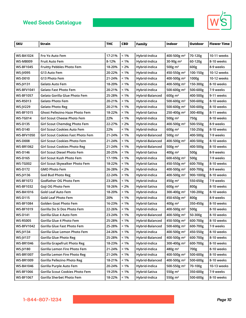

| <b>SKU</b>        | Strain                                | <b>THC</b> | <b>CBD</b> | Family          | <b>Indoor</b>           | Outdoor   | <b>Flower Time</b> |
|-------------------|---------------------------------------|------------|------------|-----------------|-------------------------|-----------|--------------------|
|                   |                                       |            |            |                 |                         |           |                    |
| <b>WS-BA1024</b>  | Fro Yo Auto Fem                       | 17-21%     | $< 1\%$    | Hybrid-Indica   | 400-500g m <sup>2</sup> | 70-120g   | 10-11 weeks        |
| <b>WS-MB009</b>   | <b>Fruit Auto Fem</b>                 | 8-12%      | $< 1\%$    | Hybrid-Indica   | 30-90g m <sup>2</sup>   | 60-120g   | 8-10 weeks         |
| <b>WS-BF1045</b>  | <b>Fruitty Pebbles Photo Fem</b>      | 18-20%     | < 2%       | Hybrid-Indica   | 500 $g$ m <sup>2</sup>  | 600g      | 8-9 weeks          |
| <b>WS-JV095</b>   | G13 Auto Fem                          | 20-22%     | $< 1\%$    | Hybrid-Indica   | 450-550g m <sup>2</sup> | 100-150g  | 10-12 weeks        |
| <b>WS-D010</b>    | G13 Photo Fem                         | 21-24%     | $< 1\%$    | Hybrid-Indica   | 400-500g m <sup>2</sup> | 1000g     | 10-12 weeks        |
| <b>WS-JV131</b>   | Gelato Auto Fem                       | 18-20%     | $< 1\%$    | Hybrid-Indica   | 400-500g m <sup>2</sup> | 150-300g  | 8-10 weeks         |
| <b>WS-BFV1041</b> | <b>Gelato Fast Photo Fem</b>          | 20-21%     | $< 1\%$    | Hybrid-Indica   | 500-600g m <sup>2</sup> | 500-600g  | 7-9 weeks          |
| <b>WS-BF1057</b>  | Gelato Gorilla Glue Photo Fem         | 25-28%     | $< 1\%$    | Hybrid-Balanced | 600g m <sup>2</sup>     | 400-500g  | 9-11 weeks         |
| WS-RS013          | Gelato Photo Fem                      | 20-21%     | $< 1\%$    | Hybrid-Indica   | 500-600g m <sup>2</sup> | 500-600g  | 8-10 weeks         |
| <b>WS-JV229</b>   | <b>Gelato Photo Reg</b>               | 20-21%     | $< 1\%$    | Hybrid-Indica   | 500-600g m <sup>2</sup> | 500-600g  | 8-10 weeks         |
| <b>WS-BF1015</b>  | <b>Ghost Pellezino Haze Photo Fem</b> | 18-22%     | $< 1\%$    | Hybrid-Sativa   | 250-400g m <sup>2</sup> | 300-400g  | 8-11 weeks         |
| WS-TG014          | Girl Scout Cheese Photo Fem           | 22%        | $< 1\%$    | Hybrid-Indica   | 500 $g$ m <sup>2</sup>  | 750g      | 8-10 weeks         |
| <b>WS-D135</b>    | Girl Scout Chemdog Photo Fem          | 22-27%     | < 2%       | Hybrid-Indica   | 400-500g m <sup>2</sup> | 500-550g  | 8-9 weeks          |
| <b>WS-D140</b>    | Girl Scout Cookies Auto Fem           | 22%        | $< 1\%$    | Hybrid-Indica   | 600g m <sup>2</sup>     | 150-250g  | 8-10 weeks         |
| <b>WS-BFV1050</b> | Girl Scout Cookies Fast Photo Fem     | 21-24%     | $< 1\%$    | Hybrid-Balanced | 500g m <sup>2</sup>     | 400-500g  | 7-9 weeks          |
| <b>WS-D008</b>    | Girl Scout Cookies Photo Fem          | 21-24%     | < 1%       | Hybrid-Balanced | 400-500g m <sup>2</sup> | 400-500g  | 8-10 weeks         |
| <b>WS-BR1062</b>  | <b>Girl Scout Cookies Photo Reg</b>   | 21-24%     | $< 1\%$    | Hybrid-Balanced | 500g m <sup>2</sup>     | 400-500g  | 8-10 weeks         |
| <b>WS-D146</b>    | Girl Scout Diesel Photo Fem           | 20-25%     | $< 1\%$    | Hybrid-Sativa   | $400g \text{ m}^2$      | 500g      | 8-9 weeks          |
| <b>WS-D165</b>    | Girl Scout Kush Photo Fem             | 17-19%     | $< 1\%$    | Hybrid-Indica   | 600-650g m <sup>2</sup> | 500g      | 7-9 weeks          |
| <b>WS-TG002</b>   | Girl Scout Skywalker Photo Fem        | 18-22%     | $< 1\%$    | Hybrid-Sativa   | 450-550g m <sup>2</sup> | 600-700g  | 8-10 weeks         |
| WS-D172           | <b>GMO Photo Fem</b>                  | 26-28%     | < 2%       | Hybrid-Indica   | 400-500g m <sup>2</sup> | 600-700g  | 8-9 weeks          |
| <b>WS-JV136</b>   | <b>God Bud Photo Reg</b>              | 22-24%     | $< 1\%$    | Hybrid-Indica   | 400-500g m <sup>2</sup> | 900-1000g | 8-10 weeks         |
| <b>WS-BF1072</b>  | Godfather OG Photo Fem                | 23-28%     | $< 1\%$    | Hybrid-Indica   | 450g m <sup>2</sup>     | 550-650g  | 7-9 weeks          |
| <b>WS-BF1032</b>  | Goji OG Photo Fem                     | 18-26%     | < 2%       | Hybrid-Sativa   | $600g \text{ m}^2$      | 800g      | 8-10 weeks         |
| <b>WS-BA1016</b>  | Gold Leaf Auto Fem                    | 18-20%     | $< 1\%$    | Hybrid-Indica   | 300-400g m <sup>2</sup> | 100-200g  | 8-10 weeks         |
| <b>WS-D115</b>    | <b>Gold Leaf Photo Fem</b>            | 20%        | $< 1\%$    | Hybrid-Indica   | 450-650g m <sup>2</sup> | 800g      | 8-9 weeks          |
| <b>WS-BF1084</b>  | Golden Goat Photo Fem                 | 16-23%     | < 1%       | Hybrid-Sativa   | $400g \text{ m}^2$      | 350-450g  | 8-10 weeks         |
| <b>WS-BF1019</b>  | Gorilla Do Si Dos Photo Fem           | 22-26%     | $< 1\%$    | Hybrid-Indica   | 400-500g m <sup>2</sup> | 500g      | 8-10 weeks         |
| <b>WS-D141</b>    | Gorilla Glue 4 Auto Fem               | 23-24%     | $< 1\%$    | Hybrid-Balanced | 400-500g m <sup>2</sup> | 50-300g   | 8-10 weeks         |
| <b>WS-RS005</b>   | Gorilla Glue 4 Photo Fem              | 25-28%     | $< 1\%$    | Hybrid-Balanced | 450-500g m <sup>2</sup> | 600-700g  | 8-10 weeks         |
| <b>WS-BFV1042</b> | Gorilla Glue Fast Photo Fem           | 25-28%     | < 1%       | Hybrid-Balanced | 500-600g m <sup>2</sup> | 600-700g  | 7-9 weeks          |
| <b>WS-JV134</b>   | Gorilla Glue Lemon Photo Fem          | 24-26%     | $< 1\%$    | Hybrid-Indica   | 400-500g m <sup>2</sup> | 450-550g  | 8-10 weeks         |
| <b>WS-JV137</b>   | <b>Gorilla Glue Photo Reg</b>         | 25-28%     | $< 1\%$    | Hybrid-Balanced | 400-500g m <sup>2</sup> | 600-700g  | 8-10 weeks         |
| <b>WS-BR1046</b>  | Gorilla Grapefruit Photo Reg          | 18-23%     | $< 1\%$    | Hybrid-Indica   | 300-400g m <sup>2</sup> | 600-700g  | 8-10 weeks         |
| <b>WS-JV180</b>   | Gorilla Lemon Fire Photo Fem          | 21-24%     | $< 1\%$    | Hybrid-Indica   | $480g \text{ m}^2$      | 700g      | 8-10 weeks         |
| <b>WS-BR1007</b>  | Gorilla Lemon Fire Photo Reg          | 21-24%     | $< 1\%$    | Hybrid-Indica   | 400-500g m <sup>2</sup> | 500-600g  | 8-10 weeks         |
| <b>WS-BR1009</b>  | Gorilla Pellezino Photo Reg           | 18-21%     | $< 1\%$    | Hybrid-Balanced | 400-500g m <sup>2</sup> | 500-600g  | 8-10 weeks         |
| <b>WS-BA1046</b>  | Gorilla Purple Auto Fem               | 20-24%     | $< 1\%$    | Hybrid-Indica   | 500-550g m <sup>2</sup> | 70-100g   | 10-13 weeks        |
| <b>WS-BF1066</b>  | Gorilla Scout Cookies Photo Fem       | 19-25%     | $< 1\%$    | Hybrid-Sativa   | 550g m <sup>2</sup>     | 350-600g  | 7-9 weeks          |
| <b>WS-BF1067</b>  | Gorilla Sherbet Photo Fem             | 18-22%     | $< 1\%$    | Hybrid-Indica   | 550g m <sup>2</sup>     | 500-600g  | 8-10 weeks         |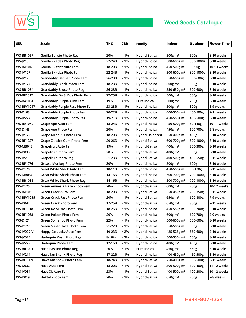



×

| <b>SKU</b>        | Strain                                 | <b>THC</b> | <b>CBD</b> | <b>Family</b>   | Indoor                  | Outdoor   | <b>Flower Time</b> |
|-------------------|----------------------------------------|------------|------------|-----------------|-------------------------|-----------|--------------------|
|                   |                                        |            |            |                 |                         |           |                    |
| <b>WS-BR1057</b>  | Gorilla Tangie Photo Reg               | 20%        | $< 1\%$    | Hybrid-Sativa   | 500g m <sup>2</sup>     | 500g      | 8-10 weeks         |
| WS-JV103          | Gorilla Zkittles Photo Reg             | 22-24%     | $< 1\%$    | Hybrid-Indica   | 500-600g m <sup>2</sup> | 800-1000g | 8-10 weeks         |
| <b>WS-BA1045</b>  | Gorilla Zkittlez Auto Fem              | 18-20%     | $< 1\%$    | Hybrid-Indica   | 450-500g m <sup>2</sup> | 60-90g    | 10-13 weeks        |
| <b>WS-JV107</b>   | Gorilla Zkittlez Photo Fem             | 22-24%     | $< 1\%$    | Hybrid-Indica   | 500-600g m <sup>2</sup> | 800-1000g | 8-10 weeks         |
| <b>WS-JV178</b>   | <b>Grandaddy Banner Photo Fem</b>      | 26-28%     | $< 1\%$    | Hybrid-Indica   | 550-650g m <sup>2</sup> | 500-600g  | 8-10 weeks         |
| <b>WS-JV177</b>   | <b>Grandaddy Black Photo Fem</b>       | 18-23%     | $< 1\%$    | Hybrid-Indica   | $600g \text{ m}^2$      | 800g      | 8-10 weeks         |
| <b>WS-BR1034</b>  | <b>Grandaddy Bruce Photo Reg</b>       | 26-28%     | $< 1\%$    | Hybrid-Indica   | 550-650g m <sup>2</sup> | 500-600g  | 8-10 weeks         |
| <b>WS-BF1017</b>  | Grandaddy Do Si Dos Photo Fem          | 22-25%     | $< 1\%$    | Hybrid-Indica   | 500g m <sup>2</sup>     | 500g      | 8-10 weeks         |
| <b>WS-BA1031</b>  | <b>Grandaddy Purple Auto Fem</b>       | 19%        | $< 1\%$    | Pure Indica     | 500g m <sup>2</sup>     | 250g      | 8-10 weeks         |
| <b>WS-BFV1047</b> | <b>Grandaddy Purple Fast Photo Fem</b> | 23-28%     | $< 1\%$    | Hybrid-Indica   | 500g m <sup>2</sup>     | 300g      | 8-9 weeks          |
| <b>WS-D103</b>    | <b>Grandaddy Purple Photo Fem</b>      | 20-22%     | $< 1\%$    | Hybrid-Indica   | 400-500g m <sup>2</sup> | 400-500g  | 9-11 weeks         |
| <b>WS-JV227</b>   | <b>Grandaddy Purple Photo Reg</b>      | 19-21%     | $< 1\%$    | Hybrid-Indica   | 450-550g m <sup>2</sup> | 400-500g  | 8-10 weeks         |
| <b>WS-BA1049</b>  | Grape Ape Auto Fem                     | 18-24%     | $< 1\%$    | Hybrid-Indica   | 450-500g m <sup>2</sup> | 80-140g   | 10-11 weeks        |
| <b>WS-D145</b>    | Grape Ape Photo Fem                    | 20%        | $< 1\%$    | Hybrid-Indica   | 450g m <sup>2</sup>     | 600-700g  | 6-8 weeks          |
| <b>WS-JV179</b>   | Grape Killer 99 Photo Fem              | 18-20%     | $< 1\%$    | Hybrid-Balanced | 350-400g m <sup>2</sup> | 400g      | 8-10 weeks         |
| <b>WS-BF1027</b>  | Grape Zkittlez Gum Photo Fem           | 20-26%     | $< 1\%$    | Hybrid-Sativa   | 600-700g m <sup>2</sup> | 800-1000g | 8-10 weeks         |
| <b>WS-MB043</b>   | Grapefruit Auto Fem                    | 19%        | $< 1\%$    | Hybrid-Sativa   | $400g$ m <sup>2</sup>   | 200-300g  | 8-10 weeks         |
| <b>WS-D033</b>    | <b>Grapefruit Photo Fem</b>            | 20%        | $< 1\%$    | Hybrid-Sativa   | $400g \text{ m}^2$      | 800g      | 8-10 weeks         |
| <b>WS-JV232</b>   | <b>Grapefruit Photo Reg</b>            | 21-23%     | $< 1\%$    | Hybrid-Sativa   | 400-500g m <sup>2</sup> | 450-550g  | 9-11 weeks         |
| <b>WS-BF1076</b>  | <b>Grease Monkey Photo Fem</b>         | 30%        | $< 1\%$    | Hybrid-Indica   | 500 $g$ m <sup>2</sup>  | 600g      | 8-10 weeks         |
| <b>WS-D170</b>    | <b>Great White Shark Auto Fem</b>      | 10-11%     | $< 1\%$    | Hybrid-Indica   | 450-550g m <sup>2</sup> | 50-170g   | 9-11 weeks         |
| WS-MB034          | Great White Shark Photo Fem            | 14-16%     | $< 1\%$    | Hybrid-Indica   | 500-700g m <sup>2</sup> | 700-1000g | 8-10 weeks         |
| <b>WS-BR1035</b>  | <b>Great White Shark Photo Reg</b>     | 14-16%     | $< 1\%$    | Hybrid-Indica   | 500-700g m <sup>2</sup> | 700-1000g | 8-10 weeks         |
| <b>WS-D125</b>    | Green Amnesia Haze Photo Fem           | 20%        | $< 1\%$    | Hybrid-Sativa   | 600g m <sup>2</sup>     | 700g      | 10-12 weeks        |
| <b>WS-BA1015</b>  | Green Crack Auto Fem                   | 18-20%     | $< 1\%$    | Hybrid-Sativa   | 350-450g m <sup>2</sup> | 250-350g  | 9-11 weeks         |
| <b>WS-BFV1055</b> | Green Crack Fast Photo Fem             | 20%        | $< 1\%$    | Hybrid-Sativa   | $650g$ m <sup>2</sup>   | 600-800g  | 7-9 weeks          |
| <b>WS-D044</b>    | <b>Green Crack Photo Fem</b>           | 17-25%     | $< 1\%$    | Hybrid-Sativa   | $650g \text{ m}^2$      | 800g      | 9-11 weeks         |
| <b>WS-BF1018</b>  | Green Do Si Dos Photo Fem              | 18-25%     | $< 1\%$    | Hybrid-Indica   | 450-550g m <sup>2</sup> | 600-700g  | 9-10 weeks         |
| <b>WS-BF1068</b>  | Green Poison Photo Fem                 | 20%        | $< 1\%$    | Hybrid-Indica   | $600g \text{ m}^2$      | 600-700g  | 7-9 weeks          |
| <b>WS-D121</b>    | Green Somango Photo Fem                | 22%        | 1%         | Hybrid-Indica   | 500-600g m <sup>2</sup> | 500-600g  | 8-10 weeks         |
| <b>WS-D127</b>    | Green Super Haze Photo Fem             | 21-22%     | < 1%       | Hybrid-Sativa   | 350-500g m <sup>2</sup> | 500g      | 8-10 weeks         |
| WS-JV009-V        | Happy Go Lucky Auto Fem                | 19-23%     | $< 2\%$    | Hybrid-Indica   | 425-525g m <sup>2</sup> | 550-600g  | 7-10 weeks         |
| <b>WS-JV075</b>   | Harlequin Kush Photo Reg               | 8-10%      | < 3%       | Hybrid-Indica   | 500-550g m <sup>2</sup> | 600g      | 8-10 weeks         |
| <b>WS-JV222</b>   | Harlequin Photo Fem                    | 12-15%     | $< 1\%$    | Hybrid-Indica   | 400g m <sup>2</sup>     | 400g      | 8-10 weeks         |
| <b>WS-BR1011</b>  | <b>Hash Passion Photo Reg</b>          | 20%        | $< 1\%$    | Pure Indica     | $450g$ m <sup>2</sup>   | 550g      | 8-10 weeks         |
| WS-JV214          | Hawaiian Skunk Photo Reg               | 17-22%     | $< 1\%$    | Hybrid-Indica   | 400-450g m <sup>2</sup> | 450-500g  | 8-10 weeks         |
| <b>WS-BF1009</b>  | Hawaiian Snow Photo Fem                | 18-24%     | $< 1\%$    | Hybrid-Sativa   | 250-400g m <sup>2</sup> | 300-500g  | 9-11 weeks         |
| <b>WS-D032</b>    | Haze Auto Fem                          | 18-20%     | $< 1\%$    | Hybrid-Sativa   | 300-500g m <sup>2</sup> | 300-400g  | 11-12 weeks        |
| <b>WS-JV034</b>   | Haze XL Auto Fem                       | 23%        | $< 1\%$    | Hybrid-Sativa   | 400-500g m <sup>2</sup> | 100-200g  | 10-12 weeks        |
| <b>WS-D019</b>    | <b>Hektol Photo Fem</b>                | 20%        | $< 1\%$    | Hybrid-Sativa   | $650g$ m <sup>2</sup>   | 750g      | 7-8 weeks          |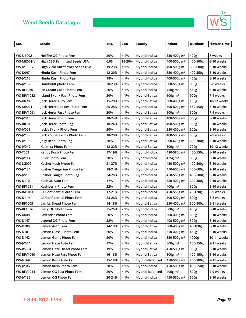

| <b>SKU</b>        | <b>Strain</b>                   | <b>THC</b> | <b>CBD</b> | Family          | Indoor                  | Outdoor  | <b>Flower Time</b> |
|-------------------|---------------------------------|------------|------------|-----------------|-------------------------|----------|--------------------|
|                   |                                 |            |            |                 |                         |          |                    |
| <b>WS-NB002</b>   | Hellfire OG Photo Fem           | 20%        | $< 1\%$    | Hybrid-Indica   | 350-400g m <sup>2</sup> | 400g     | 8 weeks            |
| <b>WS-MK001-V</b> | High CBD Feminized Seeds USA    | 0,05       | 15-20%     | Hybrid-Indica   | 400-500g m <sup>2</sup> | 400-500g | 8-10 weeks         |
| <b>WS-IV130-V</b> | High Yield Autoflower Seeds USA | 19-23%     | $< 1\%$    | Hybrid-Indica   | 400-500g m <sup>2</sup> | 300-600g | 8-10 weeks         |
| <b>WS-D097</b>    | Hindu Kush Photo Fem            | 18-20%     | $< 1\%$    | Hybrid-Indica   | 350-400g m <sup>2</sup> | 400-550g | 8-10 weeks         |
| <b>WS-JV215</b>   | Hindu Kush Photo Reg            | 18%        | < 1%       | Hybrid-Indica   | 400-500g m <sup>2</sup> | 450g     | 8-10 weeks         |
| <b>WS-JV182</b>   | Humboldt photo Fem              | 20-23%     | $< 1\%$    | Hybrid-Indica   | 500-550g m <sup>2</sup> | 650g     | 6-8 weeks          |
| <b>WS-BF1060</b>  | Ice Cream Cake Photo Fem        | 20%        | $< 1\%$    | Hybrid-Indica   | 450g m <sup>2</sup>     | 550g     | 8-10 weeks         |
| <b>WS-BFV1052</b> | Island Skunk Fast Photo Fem     | 20%        | $< 1\%$    | Hybrid-Sativa   | $600g \text{ m}^2$      | 900g     | 7-9 weeks          |
| <b>WS-D028</b>    | Jack Herer Auto Fem             | 15-20%     | $< 1\%$    | Hybrid-Sativa   | 300-400g m <sup>2</sup> | 150g     | 10-12 weeks        |
| <b>WS-MP001</b>   | Jack Herer Cookies Photo Fem    | 25-28%     | < 1%       | Hybrid-Indica   | 500-600g m <sup>2</sup> | 450-550g | 8-10 weeks         |
| <b>WS-BFV1061</b> | Jack Herer Fast Photo Fem       | 20%        | < 1%       | Hybrid-Sativa   | 500g $m2$               | 500g     | 7-9 weeks          |
| <b>WS-JV010</b>   | Jack Herer Photo Fem            | 18-24%     | $< 1\%$    | Hybrid-Sativa   | 400-500g m <sup>2</sup> | 500g     | 8-10 weeks         |
| <b>WS-BR1036</b>  | Jack Herer Photo Reg            | 18-24%     | $< 1\%$    | Hybrid-Sativa   | 400-500g m <sup>2</sup> | 500g     | 8-10 weeks         |
| <b>WS-JV001</b>   | Jack's Skunk Photo Fem          | 20%        | $< 1\%$    | Hybrid-Sativa   | 350-400g m <sup>2</sup> | 500g     | 8-10 weeks         |
| <b>WS-JV183</b>   | Jack's Superskunk Photo Fem     | 18-20%     | $< 1\%$    | Hybrid-Sativa   | 400-500g m <sup>2</sup> | 500g     | 7-9 weeks          |
| <b>WS-JV138</b>   | Jelly Bean Photo Reg            | 20%        | < 1%       | Hybrid-Sativa   | 600-675g m <sup>2</sup> | 600-700g | 8-10 weeks         |
| <b>WS-JV042</b>   | Kalimist Photo Fem              | 18-22%     | $< 1\%$    | Hybrid-Sativa   | 500 $g$ m <sup>2</sup>  | 700g     | 10-12 weeks        |
| <b>WS-T003</b>    | Kandy Kush Photo Fem            | 17-19%     | $< 1\%$    | Hybrid-Indica   | 480-580g m <sup>2</sup> | 450-550g | 8-10 weeks         |
| <b>WS-JV114</b>   | Killer Photo Fem                | 20%        | < 1%       | Hybrid-Indica   | 425g m <sup>2</sup>     | 800g     | 9-10 weeks         |
| <b>WS-LG009</b>   | Kosher Kush Photo Fem           | 21-27%     | $< 1\%$    | Hybrid-Indica   | 450-500g m <sup>2</sup> | 400-500g | 8-10 weeks         |
| <b>WS-JV184</b>   | Kosher Tangerine Photo Fem      | 18-24%     | < 1%       | Hybrid-Indica   | 450-600g m <sup>2</sup> | 400-600g | 9-10 weeks         |
| <b>WS-JV233</b>   | Kosher Tangie Photo Reg         | 24-26%     | < 1%       | Hybrid-Indica   | 450-550g m <sup>2</sup> | 400-500g | 8-10 weeks         |
| <b>WS-D110</b>    | Kush XL Auto Fem                | 17%        | < 1%       | Hybrid-Indica   | 350-400g m <sup>2</sup> | 200-300g | 9-10 weeks         |
| <b>WS-BF1081</b>  | Kushberry Photo Fem             | 22%        | $< 1\%$    | Hybrid-Indica   | 400g m <sup>2</sup>     | 500g     | 8-10 weeks         |
| <b>WS-BA1051</b>  | LA Confidential Auto Fem        | 17-21%     | $< 1\%$    | Hybrid-Indica   | 450-550g m <sup>2</sup> | 70-120g  | 8-9 weeks          |
| <b>WS-D119</b>    | LA Confidential Photo Fem       | 23-26%     | < 1%       | Hybrid-Indica   | 300-500g m <sup>2</sup> | 600g     | 6-8 weeks          |
| <b>WS-BF1005</b>  | Lambs Bread Photo Fem           | 14-18%     | < 1%       | Hybrid-Sativa   | 250-400g m <sup>2</sup> | 300-500g | 9-11 weeks         |
| <b>WS-BF1036</b>  | Larry OG Photo Fem              | 25-26%     | $< 1\%$    | Hybrid-Indica   | 500g $m2$               | 450g     | 8-10 weeks         |
| <b>WS-D048</b>    | Lavender Photo Fem              | 20%        | < 1%       | Hybrid-Indica   | 300-400g m <sup>2</sup> | 600g     | 9-10 weeks         |
| <b>WS-D147</b>    | Legend OG Photo Fem             | 22%        | $< 1\%$    | Hybrid-Indica   | 400-500g m <sup>2</sup> | 500g     | 8-10 weeks         |
| <b>WS-D100</b>    | Lemon Auto Fem                  | 14-19%     | $< 1\%$    | Hybrid-Sativa   | 300-400g m <sup>2</sup> | 40-100g  | 8-10 weeks         |
| <b>WS-D101</b>    | Lemon Diesel Photo Fem          | 20%        | $< 1\%$    | Hybrid-Indica   | 350-400g m <sup>2</sup> | 450g     | 8-10 weeks         |
| <b>WS-D142</b>    | Lemon Garlic Photo Fem          | 20%        | < 1%       | Hybrid-Indica   | 350-500g m <sup>2</sup> | 1000g    | 10-11 weeks        |
| <b>WS-JV064</b>   | Lemon Haze Auto Fem             | 17%        | $< 1\%$    | Hybrid-Sativa   | 500g m <sup>2</sup>     | 100-150g | 9-11 weeks         |
| <b>WS-RS004</b>   | Lemon Haze Diesel Photo Fem     | 19%        | $< 1\%$    | Hybrid-Sativa   | 450-500g m <sup>2</sup> | 500g     | 8-10 weeks         |
| <b>WS-BFV1060</b> | Lemon Haze Fast Photo Fem       | 16-18%     | $< 1\%$    | Hybrid-Sativa   | 500g m <sup>2</sup>     | 100-150g | 8-10 weeks         |
| <b>WS-NO-9</b>    | Lemon Kush Auto Fem             | 15-18%     | $< 1\%$    | Hybrid-Balanced | 450-500g m <sup>2</sup> | 200-300g | 9-11 weeks         |
| <b>WS-JV047</b>   | Lemon Kush Photo Fem            | 20%        | $< 1\%$    | Hybrid-Indica   | 450-500g m <sup>2</sup> | 450-550g | 8-10 weeks         |
| <b>WS-BFV1054</b> | Lemon OG Fast Photo Fem         | 20%        | < 1%       | Hybrid-Balanced | 400g m <sup>2</sup>     | 800g     | 7-9 weeks          |
| <b>WS-JV186</b>   | Lemon OG Photo Fem              | 20-24%     | $< 1\%$    | Hybrid-Indica   | 450-550g m <sup>2</sup> | 600g     | 8-10 weeks         |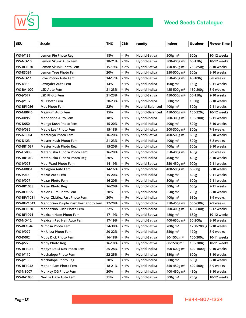

 $\mathbb{R}^2$ 

| <b>SKU</b>        | Strain                               | <b>THC</b> | <b>CBD</b> | <b>Family</b>   | <b>Indoor</b>           | <b>Outdoor</b>          | <b>Flower Time</b> |
|-------------------|--------------------------------------|------------|------------|-----------------|-------------------------|-------------------------|--------------------|
|                   |                                      |            |            |                 |                         |                         |                    |
| <b>WS-JV139</b>   | Lemon Pie Photo Reg                  | 18%        | $< 1\%$    | Hybrid-Sativa   | 500g m <sup>2</sup>     | 600g                    | 10-12 weeks        |
| <b>WS-NO-10</b>   | Lemon Skunk Auto Fem                 | 18-21%     | $< 1\%$    | Hybrid-Sativa   | 300-400g m <sup>2</sup> | 60-120g                 | 10-12 weeks        |
| <b>WS-BF1030</b>  | Lemon Skunk Photo Fem                | 15-19%     | $< 2\%$    | Hybrid-Sativa   | 750-850g m <sup>2</sup> | 750-850g                | 8-10 weeks         |
| WS-RS024          | Lemon Tree Photo Fem                 | 20%        | $< 1\%$    | Hybrid-Indica   | 350-500g m <sup>2</sup> | 500g                    | 8-10 weeks         |
| WS-NO-11          | Love Potion Auto Fem                 | 14-17%     | $< 1\%$    | Hybrid-Sativa   | 350-450g m <sup>2</sup> | 40-100g                 | 6-8 weeks          |
| <b>WS-D111</b>    | Lowryder Auto Fem                    | 14%        | $< 1\%$    | Hybrid-Indica   | $100g \text{ m}^2$      | 150g                    | 9-11 weeks         |
| WS-BA1002         | LSD Auto Fem                         | 21-23%     | $< 1\%$    | Hybrid-Indica   | 425-500g m <sup>2</sup> | 150-200g                | 8-9 weeks          |
| <b>WS-JV077</b>   | LSD Photo Fem                        | 21-23%     | $< 1\%$    | Hybrid-Sativa   | 450-550g m <sup>2</sup> | 50-150g                 | 9-10 weeks         |
| <b>WS-JV187</b>   | M8 Photo Fem                         | 20-23%     | $< 1\%$    | Hybrid-Indica   | 500g m <sup>2</sup>     | 1000g                   | 8-10 weeks         |
| <b>WS-BF1056</b>  | Mac Photo Fem                        | 22%        | $< 1\%$    | Hybrid-Balanced | $400g \text{ m}^2$      | 500g                    | 9-11 weeks         |
| WS-MB046          | Magnum Auto Fem                      | 15%        | $< 1\%$    | Hybrid-Balanced | 450-500g m <sup>2</sup> | 150-220g                | 10-12 weeks        |
| <b>WS-D095</b>    | <b>Mandarine Auto Fem</b>            | 18%        | $< 1\%$    | Hybrid-Indica   | 200-300g m <sup>2</sup> | 100-200g                | 9-11 weeks         |
| <b>WS-D050</b>    | Mango Kush Photo Fem                 | 15-20%     | $< 1\%$    | Hybrid-Indica   | $400g \text{ m}^2$      | 500g                    | 8-10 weeks         |
| <b>WS-IV086</b>   | Maple Leaf Photo Fem                 | 15-18%     | $< 1\%$    | Hybrid-Indica   | 200-300g m <sup>2</sup> | 300g                    | 7-8 weeks          |
| <b>WS-NB004</b>   | Maracuya Photo Fem                   | 16-20%     | $< 1\%$    | Hybrid-Sativa   | 400-500g m <sup>2</sup> | 600g                    | 8-10 weeks         |
| <b>WS-D123</b>    | Master Kush Photo Fem                | 21-23%     | $< 1\%$    | Hybrid-Indica   | 400g m <sup>2</sup>     | 500g                    | 6-8 weeks          |
| <b>WS-BR1037</b>  | <b>Master Kush Photo Reg</b>         | 15-20%     | $< 1\%$    | Hybrid-Indica   | $400g \, \text{m}^2$    | 500g                    | 8-10 weeks         |
| WS-LG003          | Matanuska Tundra Photo Fem           | 16-20%     | $< 1\%$    | Hybrid-Indica   | 350-400g m <sup>2</sup> | 400g                    | 8-9 weeks          |
| <b>WS-BR1012</b>  | Matanuska Tundra Photo Reg           | 20%        | $< 1\%$    | Hybrid-Indica   | $400g \text{ m}^2$      | 400g                    | 8-10 weeks         |
| <b>WS-JV073</b>   | Maui Waui Photo Fem                  | 14-19%     | $< 1\%$    | Hybrid-Sativa   | 350-450g m <sup>2</sup> | 900g                    | 9-11 weeks         |
| <b>WS-MB051</b>   | Maxigom Auto Fem                     | 14-16%     | $< 1\%$    | Hybrid-Indica   | 400-500g m <sup>2</sup> | 60-80g                  | 8-10 weeks         |
| <b>WS-V018</b>    | Mazar Auto Fem                       | 15-20%     | $< 1\%$    | Hybrid-Indica   | 500g m <sup>2</sup>     | 600g                    | 9-11 weeks         |
| <b>WS-JV007</b>   | <b>Mazar Photo Fem</b>               | 16-20%     | $< 1\%$    | Hybrid-Indica   | 500g m <sup>2</sup>     | 600g                    | 9-11 weeks         |
| WS-BR1038         | <b>Mazar Photo Reg</b>               | 16-20%     | $< 1\%$    | Hybrid-Indica   | 500g $m2$               | 600g                    | 9-11 weeks         |
| <b>WS-BF1055</b>  | Melon Gum Photo Fem                  | 20%        | $< 1\%$    | Hybrid-Indica   | 550g m <sup>2</sup>     | 700g                    | 8-10 weeks         |
| <b>WS-BFV1051</b> | Melon Zkittlez Fast Photo Fem        | 20%        | $< 1\%$    | Hybrid-Indica   | 400g m <sup>2</sup>     | 650g                    | 8-9 weeks          |
| <b>WS-BFV1043</b> | Mendocino Purple Kush Fast Photo Fem | 17-20%     | $< 1\%$    | Hybrid-Indica   | 350-450g m <sup>2</sup> | 500-600g                | 7-9 weeks          |
| <b>WS-BF1020</b>  | Mendozino Kush Photo Fem             | 22%        | $< 1\%$    | Hybrid-Indica   | 200-400g m <sup>2</sup> | 400-600g                | 9-12 weeks         |
| WS-BF1094         | Mexican Haze Photo Fem               | 17-19%     | $< 1\%$    | Hybrid-Sativa   | 480g m <sup>2</sup>     | 680g                    | 10-12 weeks        |
| <b>WS-NO-12</b>   | Mexican Red Hair Auto Fem            | 17-19%     | $< 1\%$    | Hybrid-Sativa   | 400-650g m <sup>2</sup> | 50-200g                 | 8-10 weeks         |
| <b>WS-BF1046</b>  | Mimosa Photo Fem                     | 24-30%     | $< 2\%$    | Hybrid-Sativa   | 700g m <sup>2</sup>     | 1700-2000g   9-10 weeks |                    |
| <b>WS-JV079</b>   | Mk Ultra Photo Fem                   | 20-22%     | $< 1\%$    | Hybrid-Indica   | 350g m <sup>2</sup>     | 170g                    | 8-9 weeks          |
| <b>WS-D002</b>    | Moby Dick Photo Fem                  | 16-18%     | $< 1\%$    | Hybrid-Sativa   | 80-150g m <sup>2</sup>  | 100-300g                | 10-11 weeks        |
| <b>WS-JV228</b>   | <b>Moby Photo Reg</b>                | 16-18%     | $< 1\%$    | Hybrid-Sativa   | 80-150g m <sup>2</sup>  | 100-300g                | 10-11 weeks        |
| <b>WS-BF1021</b>  | Moby's Do Si Dos Photo Fem           | 25-28%     | $< 1\%$    | Hybrid-Indica   | 500-600g m <sup>2</sup> | 600-1000g               | 9-10 weeks         |
| WS-JV110          | Mochalope Photo Fem                  | 22-25%     | $< 1\%$    | Hybrid-indica   | 550g m <sup>2</sup>     | 600g                    | 8-10 weeks         |
| <b>WS-JV135</b>   | <b>Mochalope Photo Reg</b>           | 20%        | $< 1\%$    | Hybrid-Indica   | $600g \text{ m}^2$      | 600g                    | 8-10 weeks         |
| <b>WS-BF1042</b>  | Mohan Ram Photo Fem                  | 18-21%     | $< 1\%$    | Hybrid-Indica   | 350-450g m <sup>2</sup> | 400-500g                | 8-9 weeks          |
| <b>WS-NB007</b>   | Monkey OG Photo Fem                  | 20%        | $< 1\%$    | Hybrid-Indica   | 400-450g m <sup>2</sup> | 450g                    | 8-10 weeks         |
| <b>WS-BA1035</b>  | Neville Haze Auto Fem                | 21%        | $< 1\%$    | Hybrid-Sativa   | 500g m <sup>2</sup>     | 200g                    | 10-12 weeks        |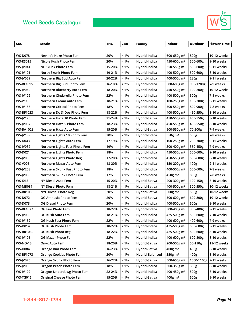

| <b>SKU</b>       | Strain                             | <b>THC</b> | <b>CBD</b> | Family          | <b>Indoor</b>           | <b>Outdoor</b>   | <b>Flower Time</b> |
|------------------|------------------------------------|------------|------------|-----------------|-------------------------|------------------|--------------------|
|                  |                                    |            |            |                 |                         |                  |                    |
| <b>WS-D078</b>   | Neville's Haze Photo Fem           | 20%        | $< 1\%$    | Hybrid-Indica   | 600-650g m <sup>2</sup> | 800g             | 10-12 weeks        |
| <b>WS-RS015</b>  | Nicole Kush Photo Fem              | 20%        | $< 1\%$    | Hybrid-Indica   | 450-600g m <sup>2</sup> | 500-600g         | 9-10 weeks         |
| <b>WS-JV041</b>  | NL Skunk Photo Fem                 | 15-20%     | $< 1\%$    | Hybrid-Indica   | 350-550g m <sup>2</sup> | 500-600g         | 9-11 weeks         |
| <b>WS-JV101</b>  | North Skunk Photo Fem              | 19-21%     | $< 1\%$    | Hybrid-Indica   | 400-500g m <sup>2</sup> | 500-600g         | 8-10 weeks         |
| <b>WS-JV059</b>  | Northern Big Bud Auto Fem          | 20-22%     | $< 1\%$    | Hybrid-Indica   | 400-500g m <sup>2</sup> | 280g             | 9-11 weeks         |
| WS-BF1095        | Northern Big Bud Photo Fem         | 16-18%     | < 2%       | Hybrid-Indica   | 500-600g m <sup>2</sup> | 900-1200g        | 7-9 weeks          |
| <b>WS-IV060</b>  | Northern Blueberry Auto Fem        | 18-20%     | $< 1\%$    | Hybrid-Indica   | 450-550g m <sup>2</sup> | 100-200g         | 10-12 weeks        |
| <b>WS-JV122</b>  | Northern Cinderella Photo Fem      | 22%        | $< 1\%$    | Hybrid-Indica   | 400-500g m <sup>2</sup> | 500g             | 7-8 weeks          |
| <b>WS-V110</b>   | Northern Cream Auto Fem            | 18-21%     | $< 1\%$    | Hybrid-Indica   | 100-250g m <sup>2</sup> | 150-300g         | 9-11 weeks         |
| <b>WS-JV188</b>  | <b>Northern Critical Photo Fem</b> | 18%        | < 1%       | Hybrid-Indica   | 500-550g m <sup>2</sup> | 800-900g         | 7-8 weeks          |
| <b>WS-BF1023</b> | Northern Do Si Dos Photo Fem       | 18-22%     | $< 1\%$    | Hybrid-Indica   | 400-500g m <sup>2</sup> | 450-550g         | 8-10 weeks         |
| WS-JV190         | Northern Haze 10 Photo Fem         | 21-24%     | $< 1\%$    | Hybrid-Sativa   | 450-550g m <sup>2</sup> | 450-550g         | 8-10 weeks         |
| <b>WS-JV087</b>  | Northern Haze 5 Photo Fem          | 18-23%     | $< 1\%$    | Hybrid-Indica   | 450-550g m <sup>2</sup> | 450-550g         | 8-10 weeks         |
| <b>WS-BA1023</b> | Northern Haze Auto Fem             | 15-20%     | $< 1\%$    | Hybrid-Sativa   | 500-550g m <sup>2</sup> | 70-200g          | 7-9 weeks          |
| <b>WS-JV189</b>  | Northern Lights 10 Photo Fem       | 20%        | $< 1\%$    | Hybrid-Indica   | 550g m <sup>2</sup>     | 500g             | 7-8 weeks          |
| <b>WS-D043</b>   | Northern Lights Auto Fem           | 17-19%     | $< 1\%$    | Hybrid-Indica   | 100-250g m <sup>2</sup> | 200-300g         | 9-11 weeks         |
| <b>WS-JV032</b>  | Northern Lights Fast Photo Fem     | 19%        | $< 1\%$    | Hybrid-Indica   | 300-400g m <sup>2</sup> | 350-450g         | 7-9 weeks          |
| <b>WS-D021</b>   | Northern Lights Photo Fem          | 18%        | $< 1\%$    | Hybrid-Indica   | 450-550g m <sup>2</sup> | 500-600g         | 9-10 weeks         |
| <b>WS-JV068</b>  | Northern Lights Photo Reg          | 17-20%     | $< 1\%$    | Hybrid-Indica   | 450-550g m <sup>2</sup> | 500-600g         | 8-10 weeks         |
| <b>WS-V005</b>   | Northern Mazar Auto Fem            | 18-20%     | $< 1\%$    | Hybrid-Indica   | 150-200g m <sup>2</sup> | 100 <sub>g</sub> | 9-11 weeks         |
| <b>WS-JV208</b>  | Northern Skunk Fast Photo Fem      | 18%        | $< 1\%$    | Hybrid-Indica   | 400-500g m <sup>2</sup> | 500-600g         | 7-8 weeks          |
| <b>WS-JV055</b>  | Northern Skunk Photo Fem           | 17%        | $< 1\%$    | Hybrid-Indica   | 450g m <sup>2</sup>     | 850g             | 7-8 weeks          |
| WS-1013          | NY Diesel Auto Fem                 | 15-20%     | $< 1\%$    | Hybrid-Sativa   | 200-300g m <sup>2</sup> | 100-150g         | 8-10 weeks         |
| WS-MB031         | NY Diesel Photo Fem                | 18-21%     | $< 1\%$    | Hybrid-Sativa   | 400-500g m <sup>2</sup> | 500-550g         | 10-12 weeks        |
| <b>WS-BR1056</b> | <b>NYC Diesel Photo Reg</b>        | 20%        | $< 1\%$    | Hybrid-Sativa   | 500g $m2$               | 550g             | 10-12 weeks        |
| <b>WS-D072</b>   | OG Amnesia Photo Fem               | 20%        | $< 1\%$    | Hybrid-Sativa   | 500-600g m <sup>2</sup> | 600-800g         | 10-12 weeks        |
| <b>WS-D073</b>   | <b>OG Diesel Photo Fem</b>         | 20%        | $< 1\%$    | Hybrid-Indica   | 400-500g m <sup>2</sup> | 600g             | 8-10 weeks         |
| <b>WS-BF1077</b> | OG Fire Photo Fem                  | 18-22%     | < 2%       | Hybrid-Indica   | 300-400g m <sup>2</sup> | 300-400g         | 9-11 weeks         |
| <b>WS-JV009</b>  | OG Kush Auto Fem                   | 18-21%     | $< 1\%$    | Hybrid-Indica   | 425-500g m <sup>2</sup> | 500-600g         | 7-10 weeks         |
| <b>WS-JV159</b>  | OG Kush Fast Photo Fem             | 22%        | $< 1\%$    | Hybrid-Indica   | 400-600g m <sup>2</sup> | 400-600g         | 7-9 weeks          |
| <b>WS-D014</b>   | OG Kush Photo Fem                  | 18-22%     | $< 1\%$    | Hybrid-Indica   | 425-500g m <sup>2</sup> | 500-600g         | 9-11 weeks         |
| <b>WS-BR1039</b> | OG Kush Photo Reg                  | 18-22%     | $< 1\%$    | Hybrid-Indica   | 425-500g m <sup>2</sup> | 500-600g         | 8-10 weeks         |
| <b>WS-JV105</b>  | OG Mazar Photo Fem                 | 22%        | < 1%       | Hybrid-Indica   | 400-600g m <sup>2</sup> | 600-800g         | 8-10 weeks         |
| <b>WS-NO-13</b>  | Onyx Auto Fem                      | 18-20%     | $< 1\%$    | Hybrid-Sativa   | 200-500g m <sup>2</sup> | 50-110g          | 11-12 weeks        |
| <b>WS-D084</b>   | Orange Bud Photo Fem               | 16-23%     | $< 1\%$    | Hybrid-Sativa   | 400g m <sup>2</sup>     | 400g             | 8-10 weeks         |
| <b>WS-BF1073</b> | <b>Orange Cookies Photo Fem</b>    | 20%        | $< 1\%$    | Hybrid-Balanced | 350g m <sup>2</sup>     | 400g             | 8-10 weeks         |
| <b>WS-JV076</b>  | Orange Skunk Photo Fem             | 16-22%     | $< 1\%$    | Hybrid-Sativa   | 500-650g m <sup>2</sup> | 1000-1100g       | 9-11 weeks         |
| <b>WS-JV088</b>  | Oregon Peach Photo Fem             | 18%        | $< 1\%$    | Hybrid-Indica   | 300-350g m <sup>2</sup> | 350g             | 8-10 weeks         |
| <b>WS-JV192</b>  | Oregon Underdawg Photo Fem         | 22-24%     | $< 1\%$    | Hybrid-Indica   | 400-450g m <sup>2</sup> | 500g             | 8-10 weeks         |
| <b>WS-TG016</b>  | Original Cheese Photo Fem          | 15-20%     | $< 1\%$    | Hybrid-Sativa   | 400g m <sup>2</sup>     | 600g             | 9-10 weeks         |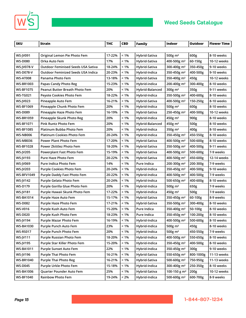



 $\overline{\mathbb{R}^n}$ 

| <b>SKU</b>        | <b>Strain</b>                             | <b>THC</b> | <b>CBD</b> | <b>Family</b>   | Indoor                   | <b>Outdoor</b> | <b>Flower Time</b> |
|-------------------|-------------------------------------------|------------|------------|-----------------|--------------------------|----------------|--------------------|
|                   |                                           |            |            |                 |                          |                |                    |
| <b>WS-JV091</b>   | Original Lemon Pie Photo Fem              | 17-22%     | $< 1\%$    | Hybrid-Sativa   | 500g $m2$                | 600g           | 8-10 weeks         |
| <b>WS-D080</b>    | Orka Auto Fem                             | 17%        | $< 1\%$    | Hybrid-Sativa   | 400-500g m <sup>2</sup>  | 60-150g        | 10-12 weeks        |
| WS-JV078-V        | <b>Outdoor Feminised Seeds USA Sativa</b> | 18-24%     | $< 1\%$    | Hybrid-Sativa   | 300-400g m <sup>2</sup>  | 350-450g       | 9-10 weeks         |
| <b>WS-D078-V</b>  | <b>Outdoor Feminized Seeds USA Indica</b> | 20-23%     | $< 1\%$    | Hybrid-Indica   | 350-450g m <sup>2</sup>  | 400-500g       | 9-10 weeks         |
| <b>WS-AT008</b>   | Panama Photo Fem                          | 13-18%     | $< 1\%$    | Hybrid-Sativa   | 350-400g m <sup>2</sup>  | 450g           | 10-12 weeks        |
| <b>WS-BR1003</b>  | Papas Candy Photo Reg                     | 15-23%     | $< 1\%$    | Hybrid-indica   | 200-400g m <sup>2</sup>  | 300-400g       | 8-10 weeks         |
| <b>WS-BF1075</b>  | <b>Peanut Butter Breath Photo Fem</b>     | 20%        | $< 1\%$    | Hybrid-Balanced | $300g$ m <sup>2</sup>    | 350g           | 9-11 weeks         |
| <b>WS-TG021</b>   | Peyote Cookies Photo Fem                  | 18-22%     | $< 1\%$    | Hybrid-Indica   | 350-500g m <sup>2</sup>  | 400-600g       | 8-10 weeks         |
| <b>WS-JV023</b>   | Pineapple Auto Fem                        | 16-21%     | $< 1\%$    | Hybrid-Sativa   | 400-500g m <sup>2</sup>  | 150-250g       | 8-10 weeks         |
| <b>WS-BF1069</b>  | Pineapple Chunk Photo Fem                 | 20%        | $< 1\%$    | Hybrid-Indica   | 500g $m2$                | 600g           | 8-10 weeks         |
| <b>WS-D089</b>    | Pineapple Haze Photo Fem                  | 16-19%     | $< 1\%$    | Hybrid-Sativa   | 250-450g m <sup>2</sup>  | 400-500g       | 10-12 weeks        |
| <b>WS-BR1059</b>  | Pineapple Skunk Photo Reg                 | 20%        | $< 1\%$    | Hybrid-Indica   | 450g m <sup>2</sup>      | 900g           | 8-10 weeks         |
| <b>WS-BF1071</b>  | <b>Pink Runtz Photo Fem</b>               | 20%        | $< 1\%$    | Hybrid-Balanced | 450g m <sup>2</sup>      | 500g           | 8-10 weeks         |
| <b>WS-BF1085</b>  | Platinum Bubba Photo Fem                  | 20%        | $< 1\%$    | Hybrid-Indica   | 350g $m2$                | 400g           | 8-10 weeks         |
| <b>WS-NB006</b>   | <b>Platinum Cookies Photo Fem</b>         | 20-24%     | $< 1\%$    | Hybrid-Indica   | 350-450g m <sup>2</sup>  | 450-550g       | 8-10 weeks         |
| <b>WS-MB036</b>   | <b>Power Plant Photo Fem</b>              | 17-20%     | $< 1\%$    | Hybrid-Sativa   | 400-500g m <sup>2</sup>  | 500-600g       | 8-10 weeks         |
| <b>WS-BF1028</b>  | Power Zkittlez Photo Fem                  | 18-20%     | $< 1\%$    | Hybrid-Sativa   | 350-500g m <sup>2</sup>  | 400-500g       | 9-11 weeks         |
| <b>WS-JV205</b>   | <b>Powerplant Fast Photo Fem</b>          | 15-19%     | $< 1\%$    | Hybrid-Sativa   | 400-500g m <sup>2</sup>  | 500-600g       | 7-9 weeks          |
| <b>WS-JV193</b>   | Pure Haze Photo Fem                       | 20-22%     | $< 1\%$    | Hybrid-Sativa   | 400-500g m <sup>2</sup>  | 450-600g       | 12-14 weeks        |
| <b>WS-JV069</b>   | Pure Indica Photo Fem                     | 14%        | $< 1\%$    | Pure Indica     | 200-300g m <sup>2</sup>  | 200-300g       | 7-9 weeks          |
| <b>WS-JV203</b>   | <b>Purple Cookies Photo Fem</b>           | 20-24%     | $< 1\%$    | Hybrid-Indica   | 350-450g m <sup>2</sup>  | 400-500g       | 9-10 weeks         |
| <b>WS-BFV1049</b> | Purple Daddy Fast Photo Fem               | 20-22%     | $< 1\%$    | Hybrid-Indica   | 400-500g m <sup>2</sup>  | 400-500g       | 7-9 weeks          |
| <b>WS-JV142</b>   | Purple Gelato Photo Fem                   | 20-24%     | $< 1\%$    | Hybrid-Indica   | 500-650g m <sup>2</sup>  | 400-600g       | 8-10 weeks         |
| <b>WS-D179</b>    | Purple Gorilla Glue Photo Fem             | 20%        | $< 1\%$    | Hybrid-Indica   | 500g m <sup>2</sup>      | 650g           | 7-9 weeks          |
| <b>WS-JV181</b>   | Purple Hawaii Skunk Photo Fem             | 17-22%     | $< 1\%$    | Hybrid-Indica   | $450g \text{ m}^2$       | 500g           | 7-9 weeks          |
| <b>WS-BA1014</b>  | Purple Haze Auto Fem                      | 15-17%     | $< 1\%$    | Hybrid-Sativa   | 350-450g m <sup>2</sup>  | 60-100g        | 8-9 weeks          |
| <b>WS-D082</b>    | Purple Haze Photo Fem                     | 17-21%     | $< 1\%$    | Hybrid-Sativa   | 350-500g m <sup>2</sup>  | 300-400g       | 8-10 weeks         |
| <b>WS-V016</b>    | Purple Kush Auto Fem                      | 15-20%     | $< 1\%$    | Pure Indica     | 350-400g m <sup>2</sup>  | 50-100g        | 8-10 weeks         |
| <b>WS-D020</b>    | Purple Kush Photo Fem                     | 18-23%     | $< 1\%$    | Pure Indica     | 350-450g m <sup>2</sup>  | 100-200g       | 8-10 weeks         |
| <b>WS-JV194</b>   | Purple Mazar Photo Fem                    | 16-19%     | $< 1\%$    | Hybrid-Indica   | 400-500g m <sup>2</sup>  | 500-600g       | 8-10 weeks         |
| <b>WS-BA1030</b>  | Purple Punch Auto Fem                     | 23%        | $< 1\%$    | Hybrid-Indica   | 500 $g$ m <sup>2</sup>   | 450g           | 8-10 weeks         |
| <b>WS-RS017</b>   | Purple Punch Photo Fem                    | 20%        | $< 1\%$    | Hybrid-Indica   | 500 $g$ m <sup>2</sup>   | 450-550g       | 7-9 weeks          |
| <b>WS-JV111</b>   | Purple Russian Photo Fem                  | 18-20%     | $< 1\%$    | Hybrid-Indica   | 400-500g m <sup>2</sup>  | 550-650g       | 8-10 weeks         |
| <b>WS-JV195</b>   | Purple Star Killer Photo Fem              | 15-20%     | $< 1\%$    | Hybrid-Indica   | 350-450g m <sup>2</sup>  | 400-500g       | 8-10 weeks         |
| <b>WS-BA1011</b>  | <b>Purple Sunset Auto Fem</b>             | 22%        | $< 1\%$    | Hybrid-Indica   | 350-450g m <sup>2</sup>  | 300g           | 9-10 weeks         |
| <b>WS-JV196</b>   | Purple Thai Photo Fem                     | 16-21%     | $< 1\%$    | Hybrid-Sativa   | 550-650g m <sup>2</sup>  | 800-1000g      | 11-13 weeks        |
| <b>WS-BR1040</b>  | <b>Purple Thai Photo Reg</b>              | 16-21%     | $< 1\%$    | Hybrid-Sativa   | 500-600g $m2$            | 750-950g       | 11-13 weeks        |
| <b>WS-D045</b>    | Purple Urkle Photo Fem                    | 15-18%     | $< 1\%$    | Hybrid-Indica   | 300-400g m <sup>2</sup>  | 250-350g       | 8-10 weeks         |
| <b>WS-BA1006</b>  | Quarter Pounder Auto Fem                  | 25%        | $< 1\%$    | Hybrid-Sativa   | 100-150 g m <sup>2</sup> | 200g           | 10-12 weeks        |
| <b>WS-BF1040</b>  | <b>Rainbow Photo Fem</b>                  | 19-24%     | $< 2\%$    | Hybrid-Indica   | 500-600g m <sup>2</sup>  | 600-700g       | 8-9 weeks          |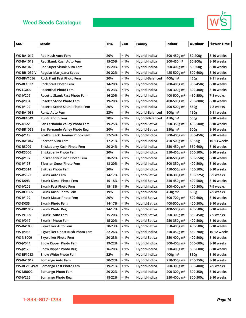

| <b>SKU</b>        | Strain                         | <b>THC</b> | <b>CBD</b> | Family          | <b>Indoor</b>           | Outdoor  | <b>Flower Time</b> |
|-------------------|--------------------------------|------------|------------|-----------------|-------------------------|----------|--------------------|
|                   |                                |            |            |                 |                         |          |                    |
| <b>WS-BA1017</b>  | <b>Red Kush Auto Fem</b>       | 20%        | $< 1\%$    | Hybrid-Indica   | 300-450g m <sup>2</sup> | 50-200g  | 8-10 weeks         |
| <b>WS-BA1019</b>  | Red Skunk Kush Auto Fem        | 15-20%     | $< 1\%$    | Hybrid-Indica   | 300-450m <sup>2</sup>   | 50-200g  | 8-10 weeks         |
| <b>WS-BA1020</b>  | Red Super Skunk Auto Fem       | 15-20%     | $< 1\%$    | Hybrid-Indica   | 300-400g m <sup>2</sup> | 50-200g  | 8-10 weeks         |
| WS-BR1039-V       | Regular Marijuana Seeds        | 20-22%     | $< 1\%$    | Hybrid-Indica   | 425-500g m <sup>2</sup> | 500-600g | 8-10 weeks         |
| <b>WS-BFV1056</b> | Rock Fruit Fast Photo Fem      | 20%        | $< 1\%$    | Hybrid-Balanced | 400g m <sup>2</sup>     | 450g     | 9-11 weeks         |
| WS-BF1037         | <b>Rock Start Photo Fem</b>    | 14-20%     | $< 1\%$    | Hybrid-Indica   | 200-400g m <sup>2</sup> | 350-450g | 8-10 weeks         |
| <b>WS-LG002</b>   | <b>Rosenthal Photo Fem</b>     | 15-23%     | $< 1\%$    | Hybrid-Indica   | 200-300g m <sup>2</sup> | 300-400g | 8-10 weeks         |
| WS-JV209          | Rosetta Skunk Fast Photo Fem   | 16-20%     | $< 1\%$    | Hybrid-Indica   | 400-500g m <sup>2</sup> | 450-550g | 7-8 weeks          |
| <b>WS-JV004</b>   | Rosetta Stone Photo Fem        | 19-20%     | $< 1\%$    | Hybrid-Indica   | 400-500g m <sup>2</sup> | 700-800g | 8-10 weeks         |
| <b>WS-JV102</b>   | Rosetta Stone Skunk Photo Fem  | 20%        | $< 1\%$    | Hybrid-Indica   | 400-500g m <sup>2</sup> | 550g     | 7-8 weeks          |
| <b>WS-BA1038</b>  | <b>Runtz Auto Fem</b>          | 23%        | $< 1\%$    | Hybrid-Balanced | 500g m <sup>2</sup>     | 150g     | 9-11 weeks         |
| <b>WS-BF1049</b>  | <b>Runtz Photo Fem</b>         | 20%        | $< 1\%$    | Hybrid-Balanced | 450g m <sup>2</sup>     | 500g     | 8-10 weeks         |
| <b>WS-D122</b>    | San Fernando Valley Photo Fem  | 19-25%     | $< 1\%$    | Hybrid-Sativa   | 300-350g m <sup>2</sup> | 400-500g | 8-10 weeks         |
| <b>WS-BR1053</b>  | San Fernando Valley Photo Reg  | 20%        | $< 1\%$    | Hybrid-Sativa   | 350g m <sup>2</sup>     | 500g     | 8-10 weeks         |
| <b>WS-JV119</b>   | Scott's Black Domina Photo Fem | 22-24%     | $< 1\%$    | Hybrid-Indica   | 300-400g m <sup>2</sup> | 350-450g | 8-10 weeks         |
| <b>WS-BA1047</b>  | <b>Sherbet Auto Fem</b>        | 17-21%     | $< 1\%$    | Hybrid-Indica   | 450-500g m <sup>2</sup> | 60-90g   | 10-13 weeks        |
| <b>WS-RS009</b>   | Shiskaberry Kush Photo Fem     | 20-24%     | $< 1\%$    | Hybrid-Indica   | 350-450g m <sup>2</sup> | 550-600g | 8-10 weeks         |
| <b>WS-RS006</b>   | Shiskaberry Photo Fem          | 20%        | $< 1\%$    | Hybrid-Indica   | 350-450g m <sup>2</sup> | 300-500g | 8-10 weeks         |
| <b>WS-JV197</b>   | Shiskaberry Punch Photo Fem    | 20-22%     | $< 1\%$    | Hybrid-Indica   | 400-500g m <sup>2</sup> | 500-550g | 8-10 weeks         |
| <b>WS-JV198</b>   | Siberian Snow Photo Fem        | 18-20%     | $< 1\%$    | Hybrid-Indica   | 300-350g m <sup>2</sup> | 400-500g | 8-10 weeks         |
| <b>WS-RS014</b>   | <b>Skittles Photo Fem</b>      | 20%        | $< 1\%$    | Hybrid-Indica   | 450-550g m <sup>2</sup> | 450-500g | 8-10 weeks         |
| <b>WS-RS023</b>   | Skunk Auto Fem                 | 14-17%     | $< 1\%$    | Hybrid-Sativa   | 100-300g m <sup>2</sup> | 100-225g | 8-9 weeks          |
| WS-D093           | Skunk Diesel Photo Fem         | 15-18%     | $< 1\%$    | Hybrid-Sativa   | 350-450g m <sup>2</sup> | 400-500g | 8-10 weeks         |
| <b>WS-JV206</b>   | Skunk Fast Photo Fem           | 15-18%     | $< 1\%$    | Hybrid-Indica   | 300-400g m <sup>2</sup> | 400-500g | 7-9 weeks          |
| <b>WS-BF1065</b>  | Skunk Kush Photo Fem           | 19%        | $< 1\%$    | Hybrid-Indica   | 450g m <sup>2</sup>     | 650g     | 7-9 weeks          |
| <b>WS-JV199</b>   | Skunk Mazar Photo Fem          | 20%        | $< 1\%$    | Hybrid-Sativa   | 600-700g m <sup>2</sup> | 500-600g | 8-10 weeks         |
| <b>WS-D035</b>    | <b>Skunk Photo Fem</b>         | 14-17%     | $< 1\%$    | Hybrid-Sativa   | 400-500g m <sup>2</sup> | 400-500g | 8-10 weeks         |
| <b>WS-BR1052</b>  | <b>Skunk Photo Reg</b>         | 14-17%     | $< 1\%$    | Hybrid-Sativa   | 400-500g m <sup>2</sup> | 400-500g | 8-10 weeks         |
| <b>WS-VL005</b>   | Skunk1 Auto Fem                | 15-20%     | $< 1\%$    | Hybrid-Sativa   | 200-300g m <sup>2</sup> | 350-450g | 7-9 weeks          |
| <b>WS-JV012</b>   | Skunk1 Photo Fem               | 15-20%     | $< 1\%$    | Hybrid-Sativa   | 250-350g m <sup>2</sup> | 400-500g | 8-10 weeks         |
| <b>WS-BA1033</b>  | Skywalker Auto Fem             | 20-23%     | $< 1\%$    | Hybrid-Sativa   | 350-400g m <sup>2</sup> | 400-500g | 8-10 weeks         |
| <b>WS-JV066</b>   | Skywalker Ghost Kush Photo Fem | 22-26%     | $< 1\%$    | Hybrid-Indica   | 350-450g m <sup>2</sup> | 550-700g | 10-12 weeks        |
| <b>WS-NB009</b>   | Skywalker Photo Fem            | 20-23%     | $< 1\%$    | Hybrid-Sativa   | 350-400g m <sup>2</sup> | 400-500g | 8-10 weeks         |
| <b>WS-JV044</b>   | <b>Snow Ripper Photo Fem</b>   | 19-22%     | $< 1\%$    | Hybrid-Indica   | 300-400g m <sup>2</sup> | 500-600g | 8-10 weeks         |
| WS-JV126          | <b>Snow Ripper Photo Reg</b>   | 16-20%     | $< 1\%$    | Hybrid-Indica   | 300-400g m <sup>2</sup> | 500-600g | 8-10 weeks         |
| <b>WS-BF1083</b>  | Snow White Photo Fem           | 22%        | $< 1\%$    | Hybrid-Indica   | 400g m <sup>2</sup>     | 350g     | 8-10 weeks         |
| <b>WS-BA1012</b>  | Somango Auto Fem               | 20-22%     | $< 1\%$    | Hybrid-Indica   | 250-350g m <sup>2</sup> | 200-350g | 8-10 weeks         |
| WS-BFV1049-V      | Somango Fast Photo Fem         | 19-21%     | $< 1\%$    | Hybrid-Indica   | 200-300g m <sup>2</sup> | 300-400g | 7-9 weeks          |
| <b>WS-MB002</b>   | Somango Photo Fem              | 20-22%     | $< 1\%$    | Hybrid-Indica   | 200-300g m <sup>2</sup> | 300-350g | 8-10 weeks         |
| <b>WS-JV226</b>   | Somango Photo Reg              | 18-22%     | $< 1\%$    | Hybrid-Indica   | 250-400g m <sup>2</sup> | 300-500g | 8-10 weeks         |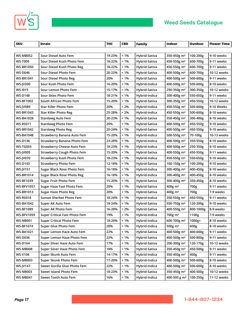



| <b>SKU</b>        | <b>Strain</b>                        | <b>THC</b> | <b>CBD</b> | <b>Family</b> | Indoor                   | Outdoor   | <b>Flower Time</b> |
|-------------------|--------------------------------------|------------|------------|---------------|--------------------------|-----------|--------------------|
|                   |                                      |            |            |               |                          |           |                    |
| <b>WS-MB052</b>   | Sour Diesel Auto Fem                 | 19-23%     | $< 1\%$    | Hybrid-Sativa | 350-450g m <sup>2</sup>  | 100-200g  | 9-10 weeks         |
| <b>WS-T009</b>    | Sour Diesel Kush Photo Fem           | 18-22%     | $< 1\%$    | Hybrid-Sativa | 450-550g m <sup>2</sup>  | 600-700g  | 9-11 weeks         |
| <b>WS-BR1050</b>  | Sour Diesel Kush Photo Reg           | 18-22%     | $< 1\%$    | Hybrid-Sativa | 450-550g m <sup>2</sup>  | 600-700g  | 9-11 weeks         |
| <b>WS-D046</b>    | Sour Diesel Photo Fem                | 20-22%     | $< 1\%$    | Hybrid-Sativa | 400-500g m <sup>2</sup>  | 600-700g  | 10-12 weeks        |
| <b>WS-BR1041</b>  | Sour Diesel Photo Reg                | 20%        | $< 1\%$    | Hybrid-Sativa | 400-500g m <sup>2</sup>  | 500-600g  | 9-11 weeks         |
| <b>WS-JV200</b>   | Sour Kush Photo Fem                  | 16-20%     | $< 1\%$    | Hybrid-Indica | 400-500g m <sup>2</sup>  | 500-600g  | 8-10 weeks         |
| <b>WS-1015</b>    | Sour Lemon Photo Fem                 | 15-17%     | $< 1\%$    | Hybrid-Sativa | 250-350g m <sup>2</sup>  | 300-350g  | 10-12 weeks        |
| <b>WS-D148</b>    | Sour Skies Photo Fem                 | 18-21%     | $< 1\%$    | Hybrid-Indica | 300-400g m <sup>2</sup>  | 550-650g  | 9-11 weeks         |
| <b>WS-BF1002</b>  | South African Photo Fem              | 15-20%     | $< 1\%$    | Hybrid-Sativa | 300-350g m <sup>2</sup>  | 450-550g  | 10-12 weeks        |
| <b>WS-JV089</b>   | <b>Star Killer Photo Fem</b>         | 20%        | $< 2\%$    | Hybrid-Indica | 450-550g m <sup>2</sup>  | 500-600g  | 9-10 Weeks         |
| <b>WS-BR1043</b>  | <b>Star Killer Photo Reg</b>         | 25-28%     | < 2%       | Hybrid-Indica | 450-550g m <sup>2</sup>  | 500-600g  | 8-10 weeks         |
| <b>WS-BA1028</b>  | <b>Stardawg Auto Fem</b>             | 20-23%     | $< 1\%$    | Hybrid-Sativa | 350-450g m <sup>2</sup>  | 300-400g  | 8-10 weeks         |
| <b>WS-RS011</b>   | <b>Stardawg Photo Fem</b>            | 20%        | $< 1\%$    | Hybrid-Sativa | 400-500g m <sup>2</sup>  | 450-550g  | 9-10 weeks         |
| <b>WS-BR1042</b>  | <b>Stardawg Photo Reg</b>            | 20-24%     | $< 1\%$    | Hybrid-Sativa | 400-500g m <sup>2</sup>  | 450-550g  | 9-10 weeks         |
| <b>WS-BA1048</b>  | Strawberry Banana Auto Fem           | 15-20%     | $< 1\%$    | Hybrid-Indica | 500-550g m <sup>2</sup>  | 70-100g   | 10-13 weeks        |
| <b>WS-D136</b>    | Strawberry Banana Photo Fem          | 23-28%     | $< 1\%$    | Hybrid-Indica | 400-500g m <sup>2</sup>  | 350-550g  | 8-10 weeks         |
| <b>WS-TG003</b>   | <b>Strawberry Cheese Auto Fem</b>    | 18-23%     | $< 1\%$    | Hybrid-Indica | 400-500g m <sup>2</sup>  | 250-350g  | 8-10 weeks         |
| <b>WS-JV005</b>   | <b>Strawberry Cough Photo Fem</b>    | 15-20%     | $< 1\%$    | Hybrid-Sativa | 400-550g m <sup>2</sup>  | 450-550g  | 9-11 weeks         |
| <b>WS-JV070</b>   | <b>Strawberry Kush Photo Fem</b>     | 18-23%     | $< 1\%$    | Hybrid-Indica | 450-550g m <sup>2</sup>  | 550-650g  | 9-10 weeks         |
| <b>WS-D143</b>    | <b>Strawberry Photo Fem</b>          | 12-18%     | $< 1\%$    | Hybrid-Sativa | 100-150g m <sup>2</sup>  | 100-200g  | 9-10 weeks         |
| <b>WS-JV151</b>   | <b>Sugar Black Rose Photo Fem</b>    | 16-18%     | $< 1\%$    | Hybrid-Indica | 300-400g m <sup>2</sup>  | 400-450g  | 8-10 weeks         |
| <b>WS-BR1014</b>  | Sugar Black Rose Photo Reg           | 16-18%     | $< 1\%$    | Hybrid-Indica | 300-400g m <sup>2</sup>  | 400-450g  | 8-10 weeks         |
| <b>WS-BF1039</b>  | <b>Sugar Fruit Photo Fem</b>         | 15-20%     | $< 1\%$    | Hybrid-Sativa | 300-400g m <sup>2</sup>  | 350-450g  | 8-10 weeks         |
| <b>WS-BFV1057</b> | Sugar Haze Fast Photo Fem            | 20%        | $< 1\%$    | Hybrid-Sativa | 400g m <sup>2</sup>      | 700g      | 9-11 weeks         |
| <b>WS-BR1013</b>  | <b>Sugar Haze Photo Reg</b>          | 20%        | $< 1\%$    | Hybrid-Sativa | $400g \; m^2$            | 700g      | 7-9 weeks          |
| <b>WS-RS018</b>   | <b>Sunset Sherbet Photo Fem</b>      | 18-24%     | $< 1\%$    | Hybrid-Indica | 350-550g m <sup>2</sup>  | 450-550g  | 9-11 weeks         |
| <b>WS-BA1042</b>  | Super AK Auto Fem                    | 18-24%     | $< 1\%$    | Hybrid-Sativa | 550-750g m <sup>2</sup>  | 120-200g  | 9-10 weeks         |
| <b>WS-BF1089</b>  | Super AK Photo Fem                   | 16-20%     | < 2%       | Hybrid-Sativa | 400-550g m <sup>2</sup>  | 800-1000g | 8-9 weeks          |
| <b>WS-BFV1059</b> | <b>Super Critical Fast Photo Fem</b> | 19%        | $< 1\%$    | Hybrid-Indica | 700g m <sup>2</sup>      | 1100g     | 7-9 weeks          |
| <b>WS-NB001</b>   | <b>Super Critical Photo Fem</b>      | 18-20%     | $< 1\%$    | Hybrid-Indica | 600-700g m <sup>2</sup>  | 1000g+    | 8-10 weeks         |
| <b>WS-BF1074</b>  | Super Glue Photo Fem                 | 20%        | $< 1\%$    | Hybrid-Indica | 500g $m2$                | 600g      | 8-10 weeks         |
| <b>WS-BA1021</b>  | Super Lemon Haze Auto Fem            | 22%        | < 1%       | Hybrid-Sativa | 400-500g m <sup>2</sup>  | 400-600g  | 9-11 weeks         |
| <b>WS-D036</b>    | Super Lemon Haze Photo Fem           | 22%        | $< 1\%$    | Hybrid-Sativa | 400-500g m <sup>2</sup>  | 500-800g  | 9-11 weeks         |
| <b>WS-D164</b>    | Super Silver Haze Auto Fem           | 17%        | $< 1\%$    | Hybrid-Sativa | 200-300g m <sup>2</sup>  | 120-170g  | 10-12 weeks        |
| <b>WS-MB008</b>   | Super Silver Haze Photo Fem          | 18%        | $< 1\%$    | Hybrid-Sativa | 350-450g m <sup>2</sup>  | 450-500g  | 9-11 weeks         |
| WS-V106           | Super Skunk Auto Fem                 | 14-17%     | $< 1\%$    | Hybrid-Indica | 350-450g m <sup>2</sup>  | 400g      | 9-11 weeks         |
| <b>WS-MB003</b>   | Super Skunk Photo Fem                | 17-20%     | $< 1\%$    | Hybrid-Indica | 400-500g m <sup>2</sup>  | 500-600g  | 8-10 weeks         |
| <b>WS-JV147</b>   | Sweet Gorilla Glue Photo Fem         | 22%        | $< 1\%$    | Hybrid-Indica | 400-500g m <sup>2</sup>  | 500-600g  | 8-10 weeks         |
| <b>WS-NB003</b>   | Sweet Island Photo Fem               | 18-23%     | $< 1\%$    | Hybrid-Sativa | 350-450g m <sup>2</sup>  | 400-500g  | 10-12 weeks        |
| <b>WS-MB041</b>   | Sweet Tooth Auto Fem                 | 16%        | $< 1\%$    | Hybrid-Indica | 400-500 g m <sup>2</sup> | 100-250g  | 11-12 weeks        |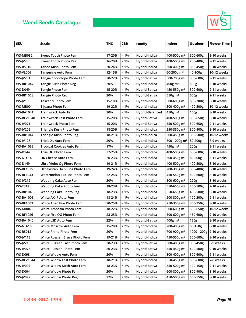

| <b>SKU</b>        | <b>Strain</b>                    | <b>THC</b> | <b>CBD</b> | Family          | Indoor                   | Outdoor    | <b>Flower Time</b> |
|-------------------|----------------------------------|------------|------------|-----------------|--------------------------|------------|--------------------|
|                   |                                  |            |            |                 |                          |            |                    |
| <b>WS-MB032</b>   | Sweet Tooth Photo Fem            | 17-20%     | $< 1\%$    | Hybrid-Indica   | 400-500g m <sup>2</sup>  | 500-600g   | 8-10 weeks         |
| <b>WS-JV230</b>   | <b>Sweet Tooth Photo Reg</b>     | 16-20%     | < 1%       | Hybrid-Indica   | 400-500g m <sup>2</sup>  | 200-400g   | 9-11 weeks         |
| <b>WS-RS010</b>   | Tahoe Kush Photo Fem             | 20-24%     | $< 1\%$    | Hybrid-Indica   | 300-400g m <sup>2</sup>  | 350-450g   | 8-10 weeks         |
| WS-VL006          | <b>Tangerine Auto Fem</b>        | 12-15%     | $< 1\%$    | Hybrid-Indica   | 60-200g m <sup>2</sup>   | 40-100g    | 10-12 weeks        |
| <b>WS-JV201</b>   | Tangie Chocolope Photo Fem       | 20-22%     | $< 1\%$    | Hybrid-Sativa   | 500-700g m <sup>2</sup>  | 500-600g   | 9-11 weeks         |
| <b>WS-BR1047</b>  | Tangie Kush Photo Reg            | 20%        | < 1%       | Hybrid-Indica   | $400g$ m <sup>2</sup>    | 500g       | 8-10 weeks         |
| <b>WS-D049</b>    | <b>Tangie Photo Fem</b>          | 15-20%     | $< 1\%$    | Hybrid-Sativa   | 450-550g m <sup>2</sup>  | 500-600g   | 9-11 weeks         |
| <b>WS-BR1058</b>  | <b>Tangie Photo Reg</b>          | 20%        | $< 1\%$    | Hybrid-Sativa   | 550g m <sup>2</sup>      | 600g       | 9-11 weeks         |
| WS-JV109          | Taskenti Photo Fem               | 15-18%     | $< 1\%$    | Hybrid-Indica   | 500-600g m <sup>2</sup>  | 600-700g   | 8-10 weeks         |
| <b>WS-MB004</b>   | Tijuana Photo Fem                | 19-22%     | < 1%       | Hybrid-Indica   | 300-400g m <sup>2</sup>  | 400-500g   | 10-12 weeks        |
| <b>WS-BA1041</b>  | Trainwreck Auto Fem              | 20%        | < 1%       | Hybrid-Balanced | 450g m <sup>2</sup>      | 150g       | 8-10 weeks         |
| <b>WS-BFV1040</b> | Trainwreck Fast Photo Fem        | 15-20%     | $< 1\%$    | Hybrid-Sativa   | 400-500g m <sup>2</sup>  | 550-650g   | 8-10 weeks         |
| <b>WS-JV071</b>   | <b>Trainwreck Photo Fem</b>      | 15-20%     | < 1%       | Hybrid-Sativa   | 350-500g m <sup>2</sup>  | 500-650g   | 9-11 weeks         |
| <b>WS-JV202</b>   | Triangle Kush Photo Fem          | 18-20%     | $< 1\%$    | Hybrid-Indica   | 250-350g m <sup>2</sup>  | 300-400g   | 8-10 weeks         |
| <b>WS-BR1044</b>  | <b>Triangle Kush Photo Reg</b>   | 18-21%     | $< 1\%$    | Hybrid-indica   | 300-450g m <sup>2</sup>  | 350-500g   | 10-12 weeks        |
| <b>WS-JV128</b>   | Triple XL Auto Fem               | 20%        | $< 1\%$    | Hybrid-Indica   | 800-1000g m <sup>2</sup> | 80-200g    | 8-9 weeks          |
| <b>WS-BA1032</b>  | <b>Tropical Cookies Auto Fem</b> | 17%        | < 1%       | Hybrid-Indica   | 450g m <sup>2</sup>      | 200g       | 9-11 weeks         |
| <b>WS-D144</b>    | True OG Photo Fem                | 22-25%     | $< 1\%$    | Hybrid-Indica   | 400-500g m <sup>2</sup>  | 500-600g   | 8-10 weeks         |
| <b>WS-NO-14</b>   | UK Cheese Auto Fem               | 20-23%     | < 2%       | Hybrid-Indica   | 300-450g m <sup>2</sup>  | 80-200g    | 8-11 weeks         |
| WS-D149           | Ultra Violet Og Photo Fem        | 19-21%     | $< 1\%$    | Hybrid-Indica   | 400-500g m <sup>2</sup>  | 400-500g   | 8-10 weeks         |
| <b>WS-BF1025</b>  | Uzbekistan Do Si Dos Photo Fem   | 19-24%     | < 1%       | Hybrid-Indica   | 200-300g m <sup>2</sup>  | 300-400g   | 8-10 weeks         |
| <b>WS-BF1043</b>  | Watermelon Zkitllez Photo Fem    | 22-25%     | < 1%       | Hybrid-Indica   | 450-550g m <sup>2</sup>  | 500-600g   | 8-10 weeks         |
| <b>WS-JV212</b>   | <b>Wedding Cake Auto Fem</b>     | 20%        | < 1%       | Hybrid-Indica   | 500-600g m <sup>2</sup>  | 220g       | 8-10 weeks         |
| <b>WS-T012</b>    | <b>Wedding Cake Photo Fem</b>    | 18-23%     | $< 1\%$    | Hybrid-Indica   | 550-650g m <sup>2</sup>  | 400-500g   | 9-10 weeks         |
| <b>WS-BR1045</b>  | <b>Wedding Cake Photo Reg</b>    | 18-23%     | $< 1\%$    | Hybrid-Indica   | 550-650g m <sup>2</sup>  | 400-500g   | 9-10 weeks         |
| <b>WS-BA1005</b>  | White AK47 Auto Fem              | 18-24%     | $< 1\%$    | Hybrid-Indica   | 200-300g m <sup>2</sup>  | 100-200g   | 9-11 weeks         |
| <b>WS-BF1003</b>  | White Alien Fire Photo Fem       | 20-25%     | $< 1\%$    | Hybrid-Indica   | 250-350g m <sup>2</sup>  | 300-350g   | 8-10 weeks         |
| <b>WS-MB045</b>   | White Amnesia Photo Fem          | 18-22%     | $< 1\%$    | Hybrid-Indica   | 500-600g m <sup>2</sup>  | 550-650g   | 10-12 weeks        |
| <b>WS-BF1026</b>  | White Fire OG Photo Fem          | 23-25%     | $< 1\%$    | Hybrid-Indica   | 500-600g m <sup>2</sup>  | 450-600g   | 9-10 weeks         |
| <b>WS-BA1040</b>  | White LSD Auto Fem               | 22%        | $< 1\%$    | Hybrid-Sativa   | 400g m <sup>2</sup>      | 150g       | 8-10 weeks         |
| WS-NO-15          | White Moscow Auto Fem            | 15-20%     | < 2%       | Hybrid-Indica   | 200-400g m <sup>2</sup>  | 60-150g    | 8-10 weeks         |
| <b>WS-RS012</b>   | White Rhino Photo Fem            | 20%        | < 1%       | Hybrid-Indica   | 700-900g m <sup>2</sup>  | 1000-1200g | 9-10 weeks         |
| <b>WS-JV113</b>   | White Russian Bruce Photo Fem    | 19-21%     | $< 1\%$    | Hybrid-Indica   | 450-550g m <sup>2</sup>  | 500-600g   | 8-10 weeks         |
| <b>WS-JV210</b>   | White Russian Fast Photo Fem     | 20-23%     | $< 1\%$    | Hybrid-Sativa   | 300-400g m <sup>2</sup>  | 350-450g   | 8-9 weeks          |
| <b>WS-JV078</b>   | White Russian Photo Fem          | 20-23%     | $< 1\%$    | Hybrid-Sativa   | 350-450g m <sup>2</sup>  | 400-500g   | 9-10 weeks         |
| <b>WS-D098</b>    | White Widow Auto Fem             | 20%        | $< 1\%$    | Hybrid-Indica   | 300-400g m <sup>2</sup>  | 500-600g   | 9-11 weeks         |
| <b>WS-BFV1044</b> | White Widow Fast Photo Fem       | 18-21%     | $< 1\%$    | Hybrid-Indica   | 350-450g m <sup>2</sup>  | 500-600g   | 7-8 weeks          |
| <b>WS-JV097</b>   | White Widow Meth Auto Fem        | 18-23%     | $< 1\%$    | Hybrid-Sativa   | 350-500g m <sup>2</sup>  | 100-150g   | 9-11 weeks         |
| <b>WS-D004</b>    | White Widow Photo Fem            | 20%        | $< 1\%$    | Hybrid-Indica   | 600-800g m <sup>2</sup>  | 800-900g   | 8-10 weeks         |
| <b>WS-JV072</b>   | <b>White Widow Photo Reg</b>     | 22%        | $< 1\%$    | Hybrid-Indica   | 450-500g m <sup>2</sup>  | 500-550g   | 8-10 weeks         |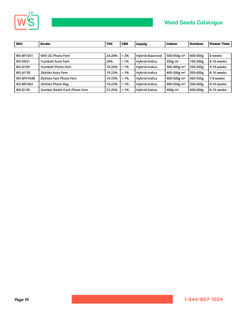

| <b>SKU</b>        | Strain                         | <b>THC</b> | <b>CBD</b> | Family          | <b>Indoor</b>           | <b>Outdoor</b> | Flower Time  |
|-------------------|--------------------------------|------------|------------|-----------------|-------------------------|----------------|--------------|
|                   |                                |            |            |                 |                         |                |              |
| <b>WS-BF1051</b>  | Wifi OG Photo Fem              | 24-28%     | $< 2\%$    | Hybrid-Balanced | 500-650g m <sup>2</sup> | 400-600g       | l 8 weeks    |
| <b>WS-D031</b>    | Yumbolt Auto Fem               | 20%        | $< 1\%$    | Hybrid-Indica   | $350g$ m <sup>2</sup>   | 100-200g       | 8--10 weeks  |
| <b>WS-D169</b>    | Yumbolt Photo Fem              | 18-24%     | $< 1\%$    | Hybrid-Indica   | 300-400g m <sup>2</sup> | 350-450g       | l 9-10 weeks |
| <b>WS-IV130</b>   | Zkittlez Auto Fem              | 19-23%     | $< 1\%$    | Hybrid-Indica   | 400-500g m <sup>2</sup> | 300-600g       | l 8-10 weeks |
| <b>WS-BFV1048</b> | <b>Zkittlez Fast Photo Fem</b> | 19-23%     | $< 1\%$    | Hybrid-Indica   | 400-500g m <sup>2</sup> | 450-550g       | i 7-9 weeks  |
| <b>WS-BR1061</b>  | <b>Zkittlez Photo Reg</b>      | 19-23%     | $< 1\%$    | Hybrid-Indica   | 400-550g m <sup>2</sup> | 350-600g       | 8--10 weeks  |
| <b>WS-D130</b>    | Zombie Death Fuck Photo Fem    | 23-25%     | $< 1\%$    | Hybrid-Sativa   | $400g \text{ m}^2$      | 500-600g       | 8--10 weeks  |